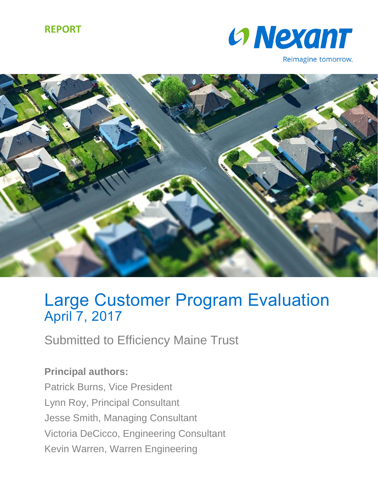### **REPORT**



Reimagine tomorrow.



# Large Customer Program Evaluation April 7, 2017

Submitted to Efficiency Maine Trust

**Principal authors:** Patrick Burns, Vice President Lynn Roy, Principal Consultant Jesse Smith, Managing Consultant Victoria DeCicco, Engineering Consultant Kevin Warren, Warren Engineering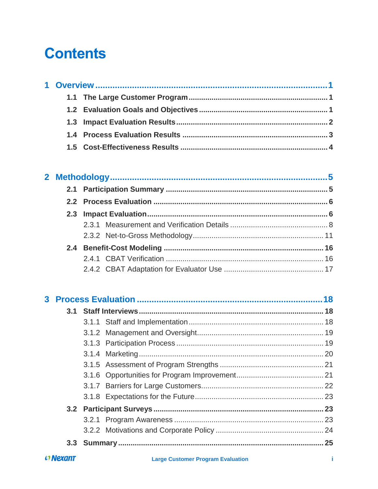# **Contents**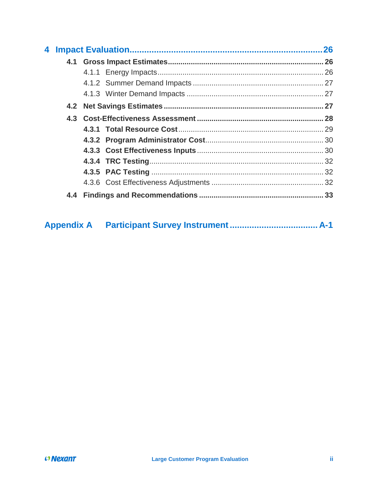|     |  |  | 26 |
|-----|--|--|----|
|     |  |  |    |
|     |  |  |    |
|     |  |  |    |
|     |  |  |    |
|     |  |  |    |
|     |  |  |    |
|     |  |  |    |
|     |  |  |    |
|     |  |  |    |
|     |  |  |    |
|     |  |  |    |
|     |  |  |    |
| 4.4 |  |  |    |

| <b>Appendix A</b> |  |  |
|-------------------|--|--|
|                   |  |  |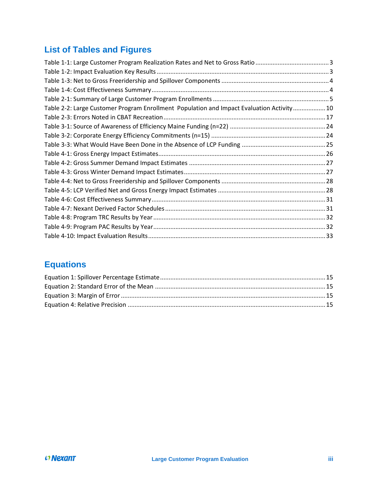## **List of Tables and Figures**

| Table 2-2: Large Customer Program Enrollment Population and Impact Evaluation Activity 10 |  |
|-------------------------------------------------------------------------------------------|--|
|                                                                                           |  |
|                                                                                           |  |
|                                                                                           |  |
|                                                                                           |  |
|                                                                                           |  |
|                                                                                           |  |
|                                                                                           |  |
|                                                                                           |  |
|                                                                                           |  |
|                                                                                           |  |
|                                                                                           |  |
|                                                                                           |  |
|                                                                                           |  |
|                                                                                           |  |
|                                                                                           |  |

## **Equations**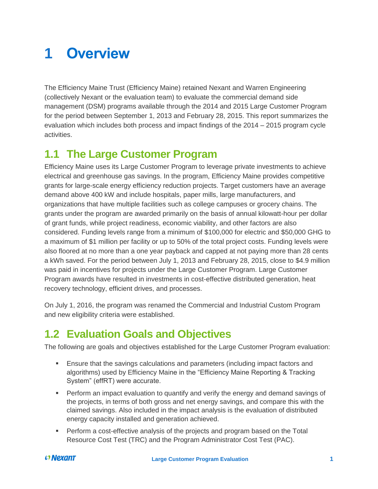# <span id="page-4-0"></span>**1 Overview**

The Efficiency Maine Trust (Efficiency Maine) retained Nexant and Warren Engineering (collectively Nexant or the evaluation team) to evaluate the commercial demand side management (DSM) programs available through the 2014 and 2015 Large Customer Program for the period between September 1, 2013 and February 28, 2015. This report summarizes the evaluation which includes both process and impact findings of the 2014 – 2015 program cycle activities.

# <span id="page-4-1"></span>**1.1 The Large Customer Program**

Efficiency Maine uses its Large Customer Program to leverage private investments to achieve electrical and greenhouse gas savings. In the program, Efficiency Maine provides competitive grants for large-scale energy efficiency reduction projects. Target customers have an average demand above 400 kW and include hospitals, paper mills, large manufacturers, and organizations that have multiple facilities such as college campuses or grocery chains. The grants under the program are awarded primarily on the basis of annual kilowatt-hour per dollar of grant funds, while project readiness, economic viability, and other factors are also considered. Funding levels range from a minimum of \$100,000 for electric and \$50,000 GHG to a maximum of \$1 million per facility or up to 50% of the total project costs. Funding levels were also floored at no more than a one year payback and capped at not paying more than 28 cents a kWh saved. For the period between July 1, 2013 and February 28, 2015, close to \$4.9 million was paid in incentives for projects under the Large Customer Program. Large Customer Program awards have resulted in investments in cost-effective distributed generation, heat recovery technology, efficient drives, and processes.

On July 1, 2016, the program was renamed the Commercial and Industrial Custom Program and new eligibility criteria were established.

# <span id="page-4-2"></span>**1.2 Evaluation Goals and Objectives**

The following are goals and objectives established for the Large Customer Program evaluation:

- Ensure that the savings calculations and parameters (including impact factors and algorithms) used by Efficiency Maine in the "Efficiency Maine Reporting & Tracking System" (effRT) were accurate.
- **•** Perform an impact evaluation to quantify and verify the energy and demand savings of the projects, in terms of both gross and net energy savings, and compare this with the claimed savings. Also included in the impact analysis is the evaluation of distributed energy capacity installed and generation achieved.
- **•** Perform a cost-effective analysis of the projects and program based on the Total Resource Cost Test (TRC) and the Program Administrator Cost Test (PAC).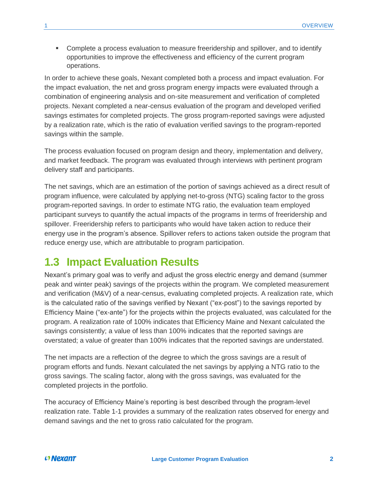**• Complete a process evaluation to measure freeridership and spillover, and to identify** opportunities to improve the effectiveness and efficiency of the current program operations.

In order to achieve these goals, Nexant completed both a process and impact evaluation. For the impact evaluation, the net and gross program energy impacts were evaluated through a combination of engineering analysis and on-site measurement and verification of completed projects. Nexant completed a near-census evaluation of the program and developed verified savings estimates for completed projects. The gross program-reported savings were adjusted by a realization rate, which is the ratio of evaluation verified savings to the program-reported savings within the sample.

The process evaluation focused on program design and theory, implementation and delivery, and market feedback. The program was evaluated through interviews with pertinent program delivery staff and participants.

The net savings, which are an estimation of the portion of savings achieved as a direct result of program influence, were calculated by applying net-to-gross (NTG) scaling factor to the gross program-reported savings. In order to estimate NTG ratio, the evaluation team employed participant surveys to quantify the actual impacts of the programs in terms of freeridership and spillover. Freeridership refers to participants who would have taken action to reduce their energy use in the program's absence. Spillover refers to actions taken outside the program that reduce energy use, which are attributable to program participation.

### <span id="page-5-0"></span>**1.3 Impact Evaluation Results**

Nexant's primary goal was to verify and adjust the gross electric energy and demand (summer peak and winter peak) savings of the projects within the program. We completed measurement and verification (M&V) of a near-census, evaluating completed projects. A realization rate, which is the calculated ratio of the savings verified by Nexant ("ex-post") to the savings reported by Efficiency Maine ("ex-ante") for the projects within the projects evaluated, was calculated for the program. A realization rate of 100% indicates that Efficiency Maine and Nexant calculated the savings consistently; a value of less than 100% indicates that the reported savings are overstated; a value of greater than 100% indicates that the reported savings are understated.

The net impacts are a reflection of the degree to which the gross savings are a result of program efforts and funds. Nexant calculated the net savings by applying a NTG ratio to the gross savings. The scaling factor, along with the gross savings, was evaluated for the completed projects in the portfolio.

The accuracy of Efficiency Maine's reporting is best described through the program-level realization rate. [Table 1-1](#page-6-1) provides a summary of the realization rates observed for energy and demand savings and the net to gross ratio calculated for the program.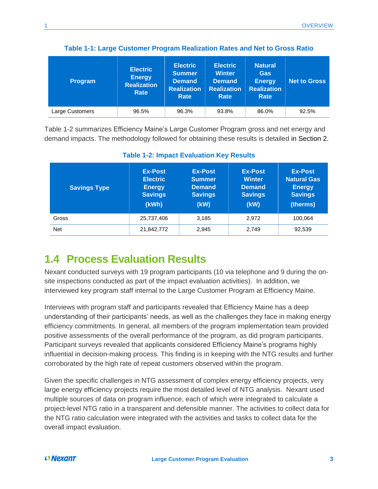<span id="page-6-1"></span>

| <b>Program</b>  | <b>Electric</b><br><b>Energy</b><br><b>Realization</b><br>Rate | <b>Electric</b><br>Summer<br><b>Demand</b><br><b>Realization</b><br>Rate | <b>Electric</b><br><b>Winter</b><br><b>Demand</b><br><b>Realization</b><br>Rate | <b>Natural</b><br><b>Gas</b><br><b>Energy</b><br><b>Realization</b><br>Rate | <b>Net to Gross</b> |
|-----------------|----------------------------------------------------------------|--------------------------------------------------------------------------|---------------------------------------------------------------------------------|-----------------------------------------------------------------------------|---------------------|
| Large Customers | 96.5%                                                          | 96.3%                                                                    | 93.8%                                                                           | 86.0%                                                                       | 92.5%               |

**Table 1-1: Large Customer Program Realization Rates and Net to Gross Ratio**

[Table 1-2](#page-6-2) summarizes Efficiency Maine's Large Customer Program gross and net energy and demand impacts. The methodology followed for obtaining these results is detailed in Section [2.](#page-8-0)

<span id="page-6-2"></span>

| <b>Savings Type</b> | <b>Ex-Post</b><br><b>Electric</b><br><b>Energy</b><br><b>Savings</b><br>(kWh) | <b>Ex-Post</b><br><b>Summer</b><br><b>Demand</b><br><b>Savings</b><br>(KW) | <b>Ex-Post</b><br><b>Winter</b><br><b>Demand</b><br><b>Savings</b><br>(kW) | <b>Ex-Post</b><br><b>Natural Gas</b><br><b>Energy</b><br><b>Savings</b><br>(therms) |
|---------------------|-------------------------------------------------------------------------------|----------------------------------------------------------------------------|----------------------------------------------------------------------------|-------------------------------------------------------------------------------------|
|                     |                                                                               |                                                                            |                                                                            |                                                                                     |
| Gross               | 25,737,406                                                                    | 3.185                                                                      | 2.972                                                                      | 100.064                                                                             |

#### **Table 1-2: Impact Evaluation Key Results**

# <span id="page-6-0"></span>**1.4 Process Evaluation Results**

Nexant conducted surveys with 19 program participants (10 via telephone and 9 during the onsite inspections conducted as part of the impact evaluation activities). In addition, we interviewed key program staff internal to the Large Customer Program at Efficiency Maine.

Interviews with program staff and participants revealed that Efficiency Maine has a deep understanding of their participants' needs, as well as the challenges they face in making energy efficiency commitments. In general, all members of the program implementation team provided positive assessments of the overall performance of the program, as did program participants. Participant surveys revealed that applicants considered Efficiency Maine's programs highly influential in decision-making process. This finding is in keeping with the NTG results and further corroborated by the high rate of repeat customers observed within the program.

Given the specific challenges in NTG assessment of complex energy efficiency projects, very large energy efficiency projects require the most detailed level of NTG analysis. Nexant used multiple sources of data on program influence, each of which were integrated to calculate a project-level NTG ratio in a transparent and defensible manner. The activities to collect data for the NTG ratio calculation were integrated with the activities and tasks to collect data for the overall impact evaluation.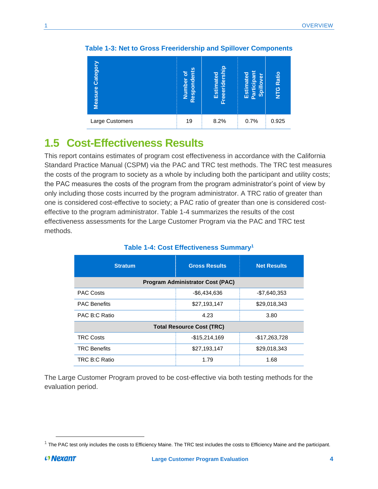| Category<br>Measure | Respondents<br>Number of | Freeeridership<br>Estimated | Participant<br>Estimated<br>Spillover | <b>Ratio</b><br><b>DIN</b> |
|---------------------|--------------------------|-----------------------------|---------------------------------------|----------------------------|
| Large Customers     | 19                       | 8.2%                        | 0.7%                                  | 0.925                      |

**Table 1-3: Net to Gross Freeridership and Spillover Components**

## <span id="page-7-0"></span>**1.5 Cost-Effectiveness Results**

This report contains estimates of program cost effectiveness in accordance with the California Standard Practice Manual (CSPM) via the PAC and TRC test methods. The TRC test measures the costs of the program to society as a whole by including both the participant and utility costs; the PAC measures the costs of the program from the program administrator's point of view by only including those costs incurred by the program administrator. A TRC ratio of greater than one is considered cost-effective to society; a PAC ratio of greater than one is considered costeffective to the program administrator. [Table 1-4](#page-7-1) summarizes the results of the cost effectiveness assessments for the Large Customer Program via the PAC and TRC test methods.

<span id="page-7-1"></span>

| <b>Stratum</b>                          | <b>Gross Results</b><br><b>Net Results</b> |                |  |  |  |  |
|-----------------------------------------|--------------------------------------------|----------------|--|--|--|--|
| <b>Program Administrator Cost (PAC)</b> |                                            |                |  |  |  |  |
| <b>PAC Costs</b>                        | $-$6,434,636$<br>-\$7,640,353              |                |  |  |  |  |
| <b>PAC Benefits</b>                     | \$27,193,147                               | \$29,018,343   |  |  |  |  |
| PAC B:C Ratio                           | 4.23                                       | 3.80           |  |  |  |  |
|                                         | <b>Total Resource Cost (TRC)</b>           |                |  |  |  |  |
| <b>TRC Costs</b>                        | $-$15,214,169$                             | $-$17,263,728$ |  |  |  |  |
| <b>TRC Benefits</b>                     | \$27,193,147                               | \$29,018,343   |  |  |  |  |
| TRC B:C Ratio                           | 1.79                                       | 1.68           |  |  |  |  |

#### **Table 1-4: Cost Effectiveness Summary<sup>1</sup>**

The Large Customer Program proved to be cost-effective via both testing methods for the evaluation period.

 $\overline{a}$ 

 $1$  The PAC test only includes the costs to Efficiency Maine. The TRC test includes the costs to Efficiency Maine and the participant.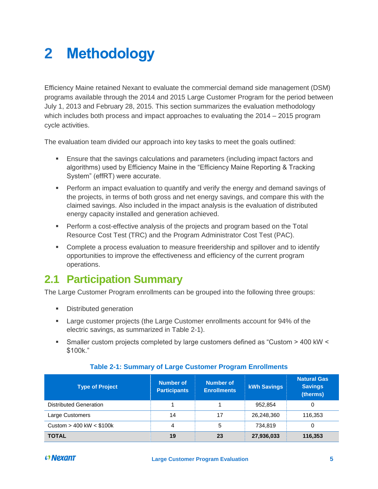# <span id="page-8-0"></span>**2 Methodology**

Efficiency Maine retained Nexant to evaluate the commercial demand side management (DSM) programs available through the 2014 and 2015 Large Customer Program for the period between July 1, 2013 and February 28, 2015. This section summarizes the evaluation methodology which includes both process and impact approaches to evaluating the 2014 – 2015 program cycle activities.

The evaluation team divided our approach into key tasks to meet the goals outlined:

- **Ensure that the savings calculations and parameters (including impact factors and** algorithms) used by Efficiency Maine in the "Efficiency Maine Reporting & Tracking System" (effRT) were accurate.
- **•** Perform an impact evaluation to quantify and verify the energy and demand savings of the projects, in terms of both gross and net energy savings, and compare this with the claimed savings. Also included in the impact analysis is the evaluation of distributed energy capacity installed and generation achieved.
- **•** Perform a cost-effective analysis of the projects and program based on the Total Resource Cost Test (TRC) and the Program Administrator Cost Test (PAC).
- **Complete a process evaluation to measure freeridership and spillover and to identify** opportunities to improve the effectiveness and efficiency of the current program operations.

# <span id="page-8-1"></span>**2.1 Participation Summary**

The Large Customer Program enrollments can be grouped into the following three groups:

- Distributed generation
- Large customer projects (the Large Customer enrollments account for 94% of the electric savings, as summarized in [Table 2-1\)](#page-8-2).
- Smaller custom projects completed by large customers defined as "Custom > 400 kW < \$100k."

<span id="page-8-2"></span>

| <b>Type of Project</b>        | <b>Number of</b><br><b>Participants</b> | <b>Number of</b><br><b>Enrollments</b> | <b>kWh Savings</b> | <b>Natural Gas</b><br><b>Savings</b><br>(therms) |
|-------------------------------|-----------------------------------------|----------------------------------------|--------------------|--------------------------------------------------|
| <b>Distributed Generation</b> |                                         |                                        | 952.854            | 0                                                |
| Large Customers               | 14                                      | 17                                     | 26.248.360         | 116,353                                          |
| Custom $> 400$ kW $<$ \$100k  | 4                                       | 5                                      | 734.819            | 0                                                |
| <b>TOTAL</b>                  | 19                                      | 23                                     | 27,936,033         | 116,353                                          |

#### **Table 2-1: Summary of Large Customer Program Enrollments**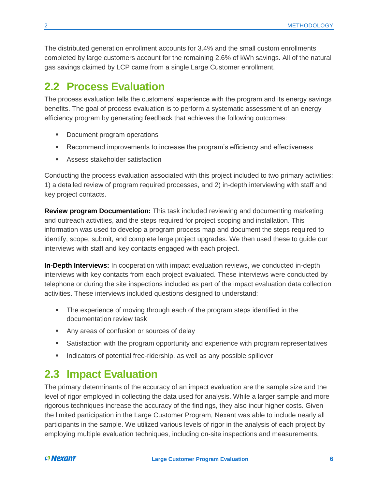The distributed generation enrollment accounts for 3.4% and the small custom enrollments completed by large customers account for the remaining 2.6% of kWh savings. All of the natural gas savings claimed by LCP came from a single Large Customer enrollment.

### <span id="page-9-0"></span>**2.2 Process Evaluation**

The process evaluation tells the customers' experience with the program and its energy savings benefits. The goal of process evaluation is to perform a systematic assessment of an energy efficiency program by generating feedback that achieves the following outcomes:

- Document program operations
- **Recommend improvements to increase the program's efficiency and effectiveness**
- Assess stakeholder satisfaction

Conducting the process evaluation associated with this project included to two primary activities: 1) a detailed review of program required processes, and 2) in-depth interviewing with staff and key project contacts.

**Review program Documentation:** This task included reviewing and documenting marketing and outreach activities, and the steps required for project scoping and installation. This information was used to develop a program process map and document the steps required to identify, scope, submit, and complete large project upgrades. We then used these to guide our interviews with staff and key contacts engaged with each project.

**In-Depth Interviews:** In cooperation with impact evaluation reviews, we conducted in-depth interviews with key contacts from each project evaluated. These interviews were conducted by telephone or during the site inspections included as part of the impact evaluation data collection activities. These interviews included questions designed to understand:

- **•** The experience of moving through each of the program steps identified in the documentation review task
- Any areas of confusion or sources of delay
- Satisfaction with the program opportunity and experience with program representatives
- **•** Indicators of potential free-ridership, as well as any possible spillover

### <span id="page-9-1"></span>**2.3 Impact Evaluation**

The primary determinants of the accuracy of an impact evaluation are the sample size and the level of rigor employed in collecting the data used for analysis. While a larger sample and more rigorous techniques increase the accuracy of the findings, they also incur higher costs. Given the limited participation in the Large Customer Program, Nexant was able to include nearly all participants in the sample. We utilized various levels of rigor in the analysis of each project by employing multiple evaluation techniques, including on-site inspections and measurements,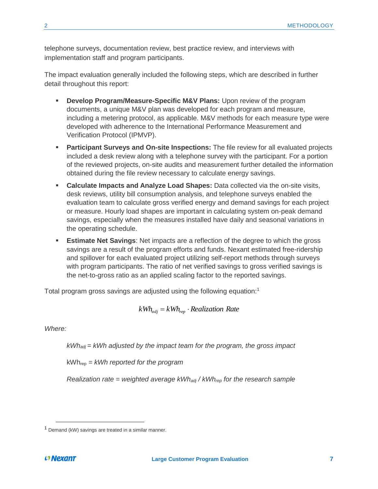telephone surveys, documentation review, best practice review, and interviews with implementation staff and program participants.

The impact evaluation generally included the following steps, which are described in further detail throughout this report:

- **EXED Program/Measure-Specific M&V Plans:** Upon review of the program documents, a unique M&V plan was developed for each program and measure, including a metering protocol, as applicable. M&V methods for each measure type were developed with adherence to the International Performance Measurement and Verification Protocol (IPMVP).
- **Participant Surveys and On-site Inspections:** The file review for all evaluated projects included a desk review along with a telephone survey with the participant. For a portion of the reviewed projects, on-site audits and measurement further detailed the information obtained during the file review necessary to calculate energy savings.
- **EXEDENT Calculate Impacts and Analyze Load Shapes:** Data collected via the on-site visits, desk reviews, utility bill consumption analysis, and telephone surveys enabled the evaluation team to calculate gross verified energy and demand savings for each project or measure. Hourly load shapes are important in calculating system on-peak demand savings, especially when the measures installed have daily and seasonal variations in the operating schedule.
- **Estimate Net Savings:** Net impacts are a reflection of the degree to which the gross savings are a result of the program efforts and funds. Nexant estimated free-ridership and spillover for each evaluated project utilizing self-report methods through surveys with program participants. The ratio of net verified savings to gross verified savings is the net-to-gross ratio as an applied scaling factor to the reported savings.

Total program gross savings are adjusted using the following equation:<sup>1</sup>

$$
kWh_{adj} = kWh_{rep} \cdot Realization Rate
$$

*Where:*

*kWhadj = kWh adjusted by the impact team for the program, the gross impact*

kWhrep *= kWh reported for the program*

*Realization rate = weighted average kWhadj / kWhrep for the research sample*

 $\overline{\phantom{a}}$ 

<sup>1</sup> Demand (kW) savings are treated in a similar manner.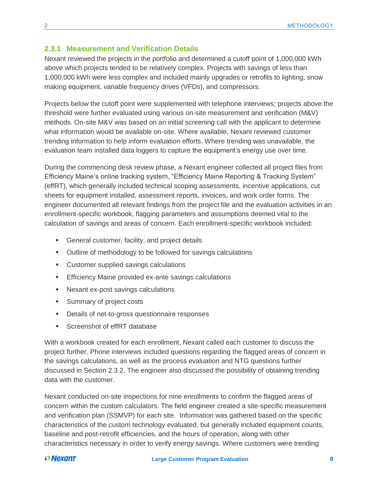#### <span id="page-11-0"></span>**2.3.1 Measurement and Verification Details**

Nexant reviewed the projects in the portfolio and determined a cutoff point of 1,000,000 kWh above which projects tended to be relatively complex. Projects with savings of less than 1,000,000 kWh were less complex and included mainly upgrades or retrofits to lighting, snow making equipment, variable frequency drives (VFDs), and compressors.

Projects below the cutoff point were supplemented with telephone interviews; projects above the threshold were further evaluated using various on-site measurement and verification (M&V) methods. On-site M&V was based on an initial screening call with the applicant to determine what information would be available on-site. Where available, Nexant reviewed customer trending information to help inform evaluation efforts. Where trending was unavailable, the evaluation team installed data loggers to capture the equipment's energy use over time.

During the commencing desk review phase, a Nexant engineer collected all project files from Efficiency Maine's online tracking system, "Efficiency Maine Reporting & Tracking System" (effRT), which generally included technical scoping assessments, incentive applications, cut sheets for equipment installed, assessment reports, invoices, and work order forms. The engineer documented all relevant findings from the project file and the evaluation activities in an enrollment-specific workbook, flagging parameters and assumptions deemed vital to the calculation of savings and areas of concern. Each enrollment-specific workbook included:

- General customer, facility, and project details
- Outline of methodology to be followed for savings calculations
- Customer supplied savings calculations
- **Efficiency Maine provided ex-ante savings calculations**
- Nexant ex-post savings calculations
- Summary of project costs
- Details of net-to-gross questionnaire responses
- Screenshot of effRT database

With a workbook created for each enrollment, Nexant called each customer to discuss the project further. Phone interviews included questions regarding the flagged areas of concern in the savings calculations, as well as the process evaluation and NTG questions further discussed in Section [2.3.2.](#page-14-0) The engineer also discussed the possibility of obtaining trending data with the customer.

Nexant conducted on-site inspections for nine enrollments to confirm the flagged areas of concern within the custom calculators. The field engineer created a site-specific measurement and verification plan (SSMVP) for each site. Information was gathered based on the specific characteristics of the custom technology evaluated, but generally included equipment counts, baseline and post-retrofit efficiencies, and the hours of operation, along with other characteristics necessary in order to verify energy savings. Where customers were trending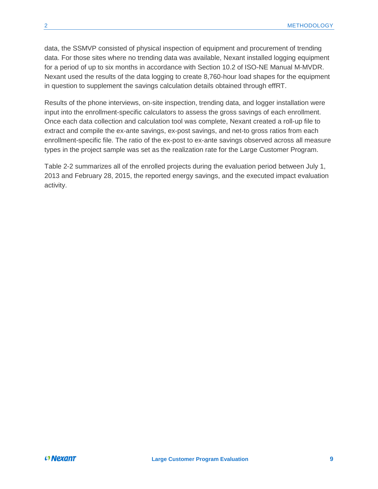data, the SSMVP consisted of physical inspection of equipment and procurement of trending data. For those sites where no trending data was available, Nexant installed logging equipment for a period of up to six months in accordance with Section 10.2 of ISO-NE Manual M-MVDR. Nexant used the results of the data logging to create 8,760-hour load shapes for the equipment in question to supplement the savings calculation details obtained through effRT.

Results of the phone interviews, on-site inspection, trending data, and logger installation were input into the enrollment-specific calculators to assess the gross savings of each enrollment. Once each data collection and calculation tool was complete, Nexant created a roll-up file to extract and compile the ex-ante savings, ex-post savings, and net-to gross ratios from each enrollment-specific file. The ratio of the ex-post to ex-ante savings observed across all measure types in the project sample was set as the realization rate for the Large Customer Program.

[Table 2-2](#page-13-0) summarizes all of the enrolled projects during the evaluation period between July 1, 2013 and February 28, 2015, the reported energy savings, and the executed impact evaluation activity.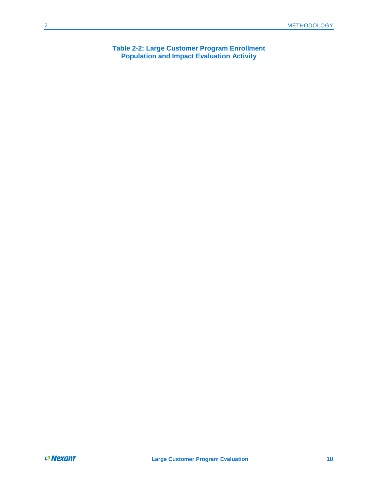<span id="page-13-0"></span>**Table 2-2: Large Customer Program Enrollment Population and Impact Evaluation Activity**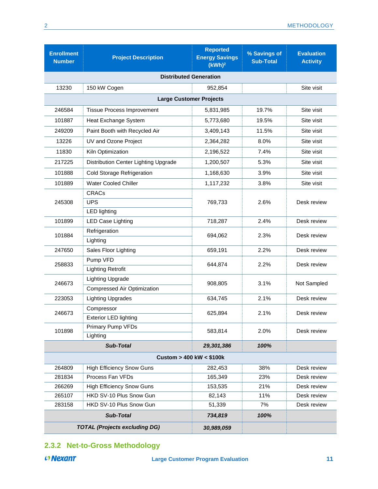| <b>Enrollment</b><br><b>Number</b> | <b>Project Description</b>           | <b>Reported</b><br><b>Energy Savings</b><br>(kWh) <sup>2</sup> | % Savings of<br><b>Sub-Total</b> | <b>Evaluation</b><br><b>Activity</b> |  |  |  |  |
|------------------------------------|--------------------------------------|----------------------------------------------------------------|----------------------------------|--------------------------------------|--|--|--|--|
|                                    | <b>Distributed Generation</b>        |                                                                |                                  |                                      |  |  |  |  |
| 13230                              | 150 kW Cogen                         | 952.854                                                        |                                  | Site visit                           |  |  |  |  |
|                                    | <b>Large Customer Projects</b>       |                                                                |                                  |                                      |  |  |  |  |
| 246584                             | <b>Tissue Process Improvement</b>    | 5,831,985                                                      | 19.7%                            | Site visit                           |  |  |  |  |
| 101887                             | Heat Exchange System                 | 5,773,680                                                      | 19.5%                            | Site visit                           |  |  |  |  |
| 249209                             | Paint Booth with Recycled Air        | 3,409,143                                                      | 11.5%                            | Site visit                           |  |  |  |  |
| 13226                              | UV and Ozone Project                 | 2,364,282                                                      | 8.0%                             | Site visit                           |  |  |  |  |
| 11830                              | Kiln Optimization                    | 2,196,522                                                      | 7.4%                             | Site visit                           |  |  |  |  |
| 217225                             | Distribution Center Lighting Upgrade | 1,200,507                                                      | 5.3%                             | Site visit                           |  |  |  |  |
| 101888                             | <b>Cold Storage Refrigeration</b>    | 1,168,630                                                      | 3.9%                             | Site visit                           |  |  |  |  |
| 101889                             | Water Cooled Chiller                 | 1,117,232                                                      | 3.8%                             | Site visit                           |  |  |  |  |
|                                    | <b>CRACs</b>                         |                                                                |                                  |                                      |  |  |  |  |
| 245308                             | <b>UPS</b>                           | 769,733                                                        | 2.6%                             | Desk review                          |  |  |  |  |
|                                    | <b>LED lighting</b>                  |                                                                |                                  |                                      |  |  |  |  |
| 101899                             | <b>LED Case Lighting</b>             | 718,287                                                        | 2.4%                             | Desk review                          |  |  |  |  |
| 101884                             | Refrigeration                        | 694,062                                                        | 2.3%                             | Desk review                          |  |  |  |  |
|                                    | Lighting                             |                                                                |                                  |                                      |  |  |  |  |
| 247650                             | Sales Floor Lighting                 | 659,191                                                        | 2.2%                             | Desk review                          |  |  |  |  |
| 258833                             | Pump VFD                             | 644,874                                                        | 2.2%                             | Desk review                          |  |  |  |  |
|                                    | <b>Lighting Retrofit</b>             |                                                                |                                  |                                      |  |  |  |  |
| 246673                             | <b>Lighting Upgrade</b>              | 908,805                                                        | 3.1%                             | Not Sampled                          |  |  |  |  |
|                                    | <b>Compressed Air Optimization</b>   |                                                                |                                  |                                      |  |  |  |  |
| 223053                             | <b>Lighting Upgrades</b>             | 634,745                                                        | 2.1%                             | Desk review                          |  |  |  |  |
| 246673                             | Compressor                           | 625,894                                                        | 2.1%                             | Desk review                          |  |  |  |  |
|                                    | <b>Exterior LED lighting</b>         |                                                                |                                  |                                      |  |  |  |  |
| 101898                             | Primary Pump VFDs                    | 583,814                                                        | 2.0%                             | Desk review                          |  |  |  |  |
|                                    | Lighting                             |                                                                |                                  |                                      |  |  |  |  |
|                                    | <b>Sub-Total</b>                     | 29,301,386                                                     | 100%                             |                                      |  |  |  |  |
|                                    |                                      | Custom > 400 kW < \$100k                                       |                                  |                                      |  |  |  |  |
| 264809                             | <b>High Efficiency Snow Guns</b>     | 282,453                                                        | 38%                              | Desk review                          |  |  |  |  |
| 281834                             | Process Fan VFDs                     | 165,349                                                        | 23%                              | Desk review                          |  |  |  |  |
| 266269                             | <b>High Efficiency Snow Guns</b>     | 153,535                                                        | 21%                              | Desk review                          |  |  |  |  |
| 265107                             | HKD SV-10 Plus Snow Gun              | 82,143                                                         | 11%                              | Desk review                          |  |  |  |  |
| 283158                             | HKD SV-10 Plus Snow Gun              | 51,339                                                         | 7%                               | Desk review                          |  |  |  |  |
|                                    | <b>Sub-Total</b>                     | 734,819                                                        | 100%                             |                                      |  |  |  |  |
|                                    | <b>TOTAL (Projects excluding DG)</b> | 30,989,059                                                     |                                  |                                      |  |  |  |  |

#### <span id="page-14-0"></span>**2.3.2 Net-to-Gross Methodology**

 **Nexant**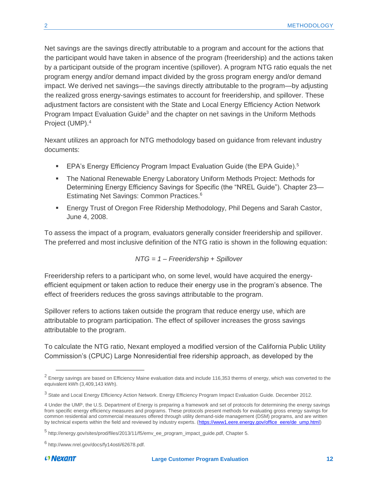Net savings are the savings directly attributable to a program and account for the actions that the participant would have taken in absence of the program (freeridership) and the actions taken by a participant outside of the program incentive (spillover). A program NTG ratio equals the net program energy and/or demand impact divided by the gross program energy and/or demand impact. We derived net savings—the savings directly attributable to the program—by adjusting the realized gross energy-savings estimates to account for freeridership, and spillover. These adjustment factors are consistent with the State and Local Energy Efficiency Action Network Program Impact Evaluation Guide<sup>3</sup> and the chapter on net savings in the Uniform Methods Project (UMP).<sup>4</sup>

Nexant utilizes an approach for NTG methodology based on guidance from relevant industry documents:

- **EPA's Energy Efficiency Program Impact Evaluation Guide (the EPA Guide).**<sup>5</sup>
- The National Renewable Energy Laboratory Uniform Methods Project: Methods for Determining Energy Efficiency Savings for Specific (the "NREL Guide"). Chapter 23— Estimating Net Savings: Common Practices.<sup>6</sup>
- **Energy Trust of Oregon Free Ridership Methodology, Phil Degens and Sarah Castor,** June 4, 2008.

To assess the impact of a program, evaluators generally consider freeridership and spillover. The preferred and most inclusive definition of the NTG ratio is shown in the following equation:

*NTG = 1 – Freeridership + Spillover*

Freeridership refers to a participant who, on some level, would have acquired the energyefficient equipment or taken action to reduce their energy use in the program's absence. The effect of freeriders reduces the gross savings attributable to the program.

Spillover refers to actions taken outside the program that reduce energy use, which are attributable to program participation. The effect of spillover increases the gross savings attributable to the program.

To calculate the NTG ratio, Nexant employed a modified version of the California Public Utility Commission's (CPUC) Large Nonresidential free ridership approach, as developed by the

l

 $2$  Energy savings are based on Efficiency Maine evaluation data and include 116,353 therms of energy, which was converted to the equivalent kWh (3,409,143 kWh).

<sup>&</sup>lt;sup>3</sup> State and Local Energy Efficiency Action Network. Energy Efficiency Program Impact Evaluation Guide. December 2012.

<sup>4</sup> Under the UMP, the U.S. Department of Energy is preparing a framework and set of protocols for determining the energy savings from specific energy efficiency measures and programs. These protocols present methods for evaluating gross energy savings for common residential and commercial measures offered through utility demand-side management (DSM) programs, and are written by technical experts within the field and reviewed by industry experts. [\(https://www1.eere.energy.gov/office\\_eere/de\\_ump.html\)](https://www1.eere.energy.gov/office_eere/de_ump.html)

<sup>&</sup>lt;sup>5</sup> http://energy.gov/sites/prod/files/2013/11/f5/emv\_ee\_program\_impact\_guide.pdf, Chapter 5.

<sup>&</sup>lt;sup>6</sup> http://www.nrel.gov/docs/fy14osti/62678.pdf.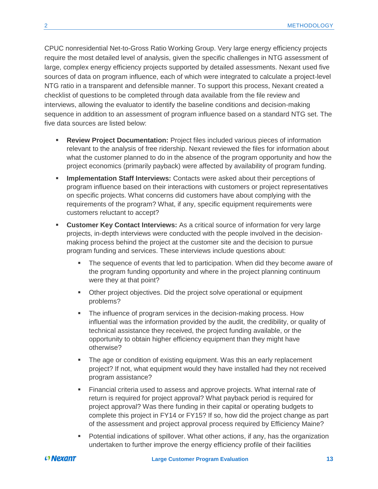CPUC nonresidential Net-to-Gross Ratio Working Group. Very large energy efficiency projects require the most detailed level of analysis, given the specific challenges in NTG assessment of large, complex energy efficiency projects supported by detailed assessments. Nexant used five sources of data on program influence, each of which were integrated to calculate a project-level NTG ratio in a transparent and defensible manner. To support this process, Nexant created a checklist of questions to be completed through data available from the file review and interviews, allowing the evaluator to identify the baseline conditions and decision-making sequence in addition to an assessment of program influence based on a standard NTG set. The five data sources are listed below:

- **Review Project Documentation:** Project files included various pieces of information relevant to the analysis of free ridership. Nexant reviewed the files for information about what the customer planned to do in the absence of the program opportunity and how the project economics (primarily payback) were affected by availability of program funding.
- **Implementation Staff Interviews:** Contacts were asked about their perceptions of program influence based on their interactions with customers or project representatives on specific projects. What concerns did customers have about complying with the requirements of the program? What, if any, specific equipment requirements were customers reluctant to accept?
- **EXECUST CUSTOMER KEY Contact Interviews:** As a critical source of information for very large projects, in-depth interviews were conducted with the people involved in the decisionmaking process behind the project at the customer site and the decision to pursue program funding and services. These interviews include questions about:
	- The sequence of events that led to participation. When did they become aware of the program funding opportunity and where in the project planning continuum were they at that point?
	- Other project objectives. Did the project solve operational or equipment problems?
	- The influence of program services in the decision-making process. How influential was the information provided by the audit, the credibility, or quality of technical assistance they received, the project funding available, or the opportunity to obtain higher efficiency equipment than they might have otherwise?
	- **•** The age or condition of existing equipment. Was this an early replacement project? If not, what equipment would they have installed had they not received program assistance?
	- Financial criteria used to assess and approve projects. What internal rate of return is required for project approval? What payback period is required for project approval? Was there funding in their capital or operating budgets to complete this project in FY14 or FY15? If so, how did the project change as part of the assessment and project approval process required by Efficiency Maine?
	- **•** Potential indications of spillover. What other actions, if any, has the organization undertaken to further improve the energy efficiency profile of their facilities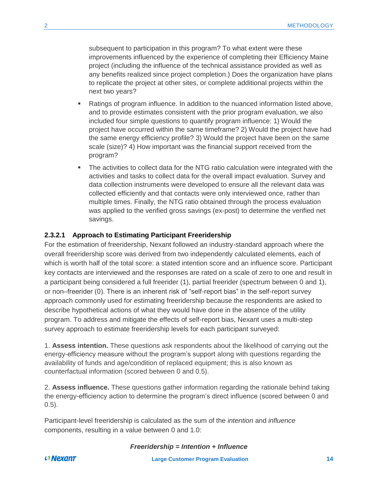subsequent to participation in this program? To what extent were these improvements influenced by the experience of completing their Efficiency Maine project (including the influence of the technical assistance provided as well as any benefits realized since project completion.) Does the organization have plans to replicate the project at other sites, or complete additional projects within the next two years?

- Ratings of program influence. In addition to the nuanced information listed above, and to provide estimates consistent with the prior program evaluation, we also included four simple questions to quantify program influence: 1) Would the project have occurred within the same timeframe? 2) Would the project have had the same energy efficiency profile? 3) Would the project have been on the same scale (size)? 4) How important was the financial support received from the program?
- **•** The activities to collect data for the NTG ratio calculation were integrated with the activities and tasks to collect data for the overall impact evaluation. Survey and data collection instruments were developed to ensure all the relevant data was collected efficiently and that contacts were only interviewed once, rather than multiple times. Finally, the NTG ratio obtained through the process evaluation was applied to the verified gross savings (ex-post) to determine the verified net savings.

#### **2.3.2.1 Approach to Estimating Participant Freeridership**

For the estimation of freeridership, Nexant followed an industry-standard approach where the overall freeridership score was derived from two independently calculated elements, each of which is worth half of the total score: a stated intention score and an influence score. Participant key contacts are interviewed and the responses are rated on a scale of zero to one and result in a participant being considered a full freerider (1), partial freerider (spectrum between 0 and 1), or non–freerider (0). There is an inherent risk of "self-report bias" in the self-report survey approach commonly used for estimating freeridership because the respondents are asked to describe hypothetical actions of what they would have done in the absence of the utility program. To address and mitigate the effects of self-report bias, Nexant uses a multi-step survey approach to estimate freeridership levels for each participant surveyed:

1. **Assess intention.** These questions ask respondents about the likelihood of carrying out the energy-efficiency measure without the program's support along with questions regarding the availability of funds and age/condition of replaced equipment; this is also known as counterfactual information (scored between 0 and 0.5).

2. **Assess influence.** These questions gather information regarding the rationale behind taking the energy-efficiency action to determine the program's direct influence (scored between 0 and 0.5).

Participant-level freeridership is calculated as the sum of the *intention* and *influence* components, resulting in a value between 0 and 1.0:

*Freeridership = Intention + Influence*

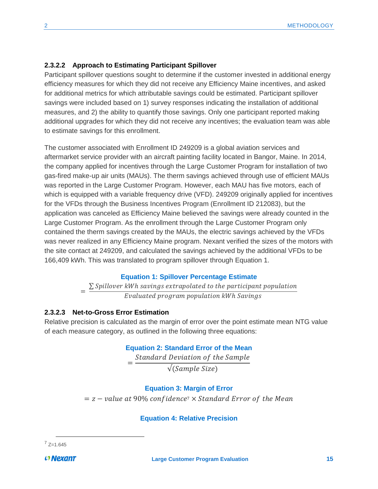#### **2.3.2.2 Approach to Estimating Participant Spillover**

Participant spillover questions sought to determine if the customer invested in additional energy efficiency measures for which they did not receive any Efficiency Maine incentives, and asked for additional metrics for which attributable savings could be estimated. Participant spillover savings were included based on 1) survey responses indicating the installation of additional measures, and 2) the ability to quantify those savings. Only one participant reported making additional upgrades for which they did not receive any incentives; the evaluation team was able to estimate savings for this enrollment.

The customer associated with Enrollment ID 249209 is a global aviation services and aftermarket service provider with an aircraft painting facility located in Bangor, Maine. In 2014, the company applied for incentives through the Large Customer Program for installation of two gas-fired make-up air units (MAUs). The therm savings achieved through use of efficient MAUs was reported in the Large Customer Program. However, each MAU has five motors, each of which is equipped with a variable frequency drive (VFD). 249209 originally applied for incentives for the VFDs through the Business Incentives Program (Enrollment ID 212083), but the application was canceled as Efficiency Maine believed the savings were already counted in the Large Customer Program. As the enrollment through the Large Customer Program only contained the therm savings created by the MAUs, the electric savings achieved by the VFDs was never realized in any Efficiency Maine program. Nexant verified the sizes of the motors with the site contact at 249209, and calculated the savings achieved by the additional VFDs to be 166,409 kWh. This was translated to program spillover through [Equation 1.](#page-18-0)

#### **Equation 1: Spillover Percentage Estimate**

=  $\Sigma$  Spillover kWh savings extrapolated to the participant population Evaluated program population kWh Savings

#### <span id="page-18-0"></span>**2.3.2.3 Net-to-Gross Error Estimation**

Relative precision is calculated as the margin of error over the point estimate mean NTG value of each measure category, as outlined in the following three equations:

#### **Equation 2: Standard Error of the Mean**

= Standard Deviation of the Sample √(Sample Size)

#### **Equation 3: Margin of Error**

 $z = z -$  value at 90% confidence<sup>7</sup>  $\times$  Standard Error of the Mean

#### **Equation 4: Relative Precision**

 $\overline{a}$  $7$  Z=1.645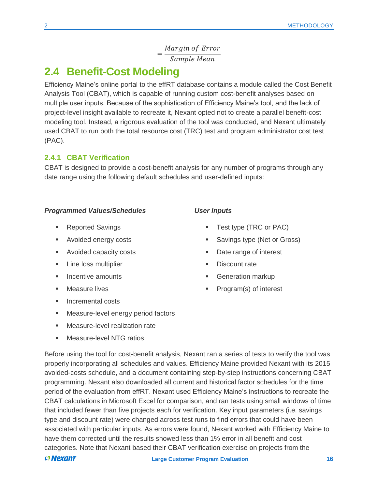= Margin of Error Sample Mean

## <span id="page-19-0"></span>**2.4 Benefit-Cost Modeling**

Efficiency Maine's online portal to the effRT database contains a module called the Cost Benefit Analysis Tool (CBAT), which is capable of running custom cost-benefit analyses based on multiple user inputs. Because of the sophistication of Efficiency Maine's tool, and the lack of project-level insight available to recreate it, Nexant opted not to create a parallel benefit-cost modeling tool. Instead, a rigorous evaluation of the tool was conducted, and Nexant ultimately used CBAT to run both the total resource cost (TRC) test and program administrator cost test (PAC).

#### <span id="page-19-1"></span>**2.4.1 CBAT Verification**

CBAT is designed to provide a cost-benefit analysis for any number of programs through any date range using the following default schedules and user-defined inputs:

#### *Programmed Values/Schedules*

- Reported Savings
- Avoided energy costs
- Avoided capacity costs
- **EXECUTE:** Line loss multiplier
- **■** Incentive amounts
- Measure lives
- Incremental costs
- Measure-level energy period factors
- **■** Measure-level realization rate
- Measure-level NTG ratios

### Before using the tool for cost-benefit analysis, Nexant ran a series of tests to verify the tool was properly incorporating all schedules and values. Efficiency Maine provided Nexant with its 2015 avoided-costs schedule, and a document containing step-by-step instructions concerning CBAT programming. Nexant also downloaded all current and historical factor schedules for the time period of the evaluation from effRT. Nexant used Efficiency Maine's instructions to recreate the CBAT calculations in Microsoft Excel for comparison, and ran tests using small windows of time that included fewer than five projects each for verification. Key input parameters (i.e. savings type and discount rate) were changed across test runs to find errors that could have been associated with particular inputs. As errors were found, Nexant worked with Efficiency Maine to have them corrected until the results showed less than 1% error in all benefit and cost categories. Note that Nexant based their CBAT verification exercise on projects from the

#### $O$  Nexant

- *User Inputs*
	- Test type (TRC or PAC)
	- Savings type (Net or Gross)
	- Date range of interest
	- **Discount rate**
	- **Generation markup**
	- Program(s) of interest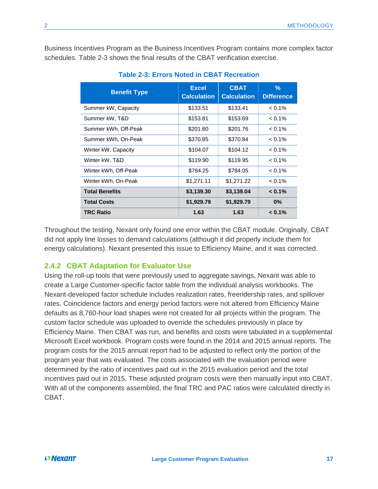<span id="page-20-1"></span>Business Incentives Program as the Business Incentives Program contains more complex factor schedules. [Table 2-3](#page-20-1) shows the final results of the CBAT verification exercise.

| <b>Benefit Type</b>   | <b>Excel</b><br><b>Calculation</b> | <b>CBAT</b><br><b>Calculation</b> | $\%$<br><b>Difference</b> |
|-----------------------|------------------------------------|-----------------------------------|---------------------------|
| Summer kW, Capacity   | \$133.51                           | \$133.41                          | $< 0.1\%$                 |
| Summer kW, T&D        | \$153.81                           | \$153.69                          | $< 0.1\%$                 |
| Summer kWh, Off-Peak  | \$201.80                           | \$201.76                          | $< 0.1\%$                 |
| Summer kWh, On-Peak   | \$370.85                           | \$370.84                          | $< 0.1\%$                 |
| Winter kW, Capacity   | \$104.07                           | \$104.12                          | $< 0.1\%$                 |
| Winter kW, T&D        | \$119.90                           | \$119.95                          | $< 0.1\%$                 |
| Winter kWh, Off-Peak  | \$784.25                           | \$784.05                          | $< 0.1\%$                 |
| Winter kWh, On-Peak   | \$1,271.11                         | \$1,271.22                        | $< 0.1\%$                 |
| <b>Total Benefits</b> | \$3,139.30                         | \$3,139.04                        | $< 0.1\%$                 |
| <b>Total Costs</b>    | \$1,929.79                         | \$1,929.79                        | $0\%$                     |
| <b>TRC Ratio</b>      | 1.63                               | 1.63                              | $< 0.1\%$                 |

#### **Table 2-3: Errors Noted in CBAT Recreation**

Throughout the testing, Nexant only found one error within the CBAT module. Originally, CBAT did not apply line losses to demand calculations (although it did properly include them for energy calculations). Nexant presented this issue to Efficiency Maine, and it was corrected.

#### <span id="page-20-0"></span>**2.4.2 CBAT Adaptation for Evaluator Use**

Using the roll-up tools that were previously used to aggregate savings, Nexant was able to create a Large Customer-specific factor table from the individual analysis workbooks. The Nexant-developed factor schedule includes realization rates, freeridership rates, and spillover rates. Coincidence factors and energy period factors were not altered from Efficiency Maine defaults as 8,760-hour load shapes were not created for all projects within the program. The custom factor schedule was uploaded to override the schedules previously in place by Efficiency Maine. Then CBAT was run, and benefits and costs were tabulated in a supplemental Microsoft Excel workbook. Program costs were found in the 2014 and 2015 annual reports. The program costs for the 2015 annual report had to be adjusted to reflect only the portion of the program year that was evaluated. The costs associated with the evaluation period were determined by the ratio of incentives paid out in the 2015 evaluation period and the total incentives paid out in 2015. These adjusted program costs were then manually input into CBAT. With all of the components assembled, the final TRC and PAC ratios were calculated directly in CBAT.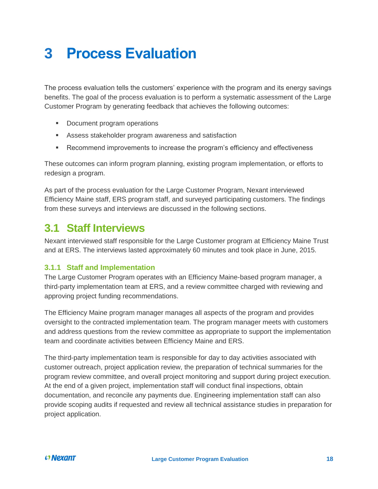# <span id="page-21-0"></span>**3 Process Evaluation**

The process evaluation tells the customers' experience with the program and its energy savings benefits. The goal of the process evaluation is to perform a systematic assessment of the Large Customer Program by generating feedback that achieves the following outcomes:

- Document program operations
- Assess stakeholder program awareness and satisfaction
- Recommend improvements to increase the program's efficiency and effectiveness

These outcomes can inform program planning, existing program implementation, or efforts to redesign a program.

As part of the process evaluation for the Large Customer Program, Nexant interviewed Efficiency Maine staff, ERS program staff, and surveyed participating customers. The findings from these surveys and interviews are discussed in the following sections.

## <span id="page-21-1"></span>**3.1 Staff Interviews**

Nexant interviewed staff responsible for the Large Customer program at Efficiency Maine Trust and at ERS. The interviews lasted approximately 60 minutes and took place in June, 2015.

#### <span id="page-21-2"></span>**3.1.1 Staff and Implementation**

The Large Customer Program operates with an Efficiency Maine-based program manager, a third-party implementation team at ERS, and a review committee charged with reviewing and approving project funding recommendations.

The Efficiency Maine program manager manages all aspects of the program and provides oversight to the contracted implementation team. The program manager meets with customers and address questions from the review committee as appropriate to support the implementation team and coordinate activities between Efficiency Maine and ERS.

The third-party implementation team is responsible for day to day activities associated with customer outreach, project application review, the preparation of technical summaries for the program review committee, and overall project monitoring and support during project execution. At the end of a given project, implementation staff will conduct final inspections, obtain documentation, and reconcile any payments due. Engineering implementation staff can also provide scoping audits if requested and review all technical assistance studies in preparation for project application.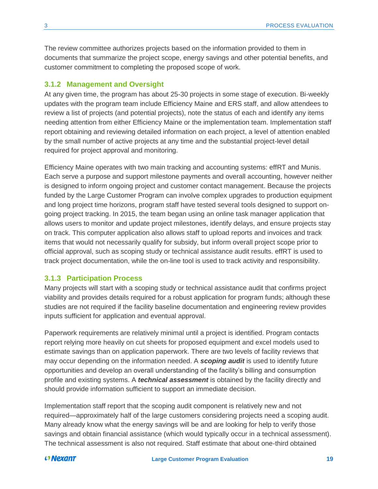The review committee authorizes projects based on the information provided to them in documents that summarize the project scope, energy savings and other potential benefits, and customer commitment to completing the proposed scope of work.

#### <span id="page-22-0"></span>**3.1.2 Management and Oversight**

At any given time, the program has about 25-30 projects in some stage of execution. Bi-weekly updates with the program team include Efficiency Maine and ERS staff, and allow attendees to review a list of projects (and potential projects), note the status of each and identify any items needing attention from either Efficiency Maine or the implementation team. Implementation staff report obtaining and reviewing detailed information on each project, a level of attention enabled by the small number of active projects at any time and the substantial project-level detail required for project approval and monitoring.

Efficiency Maine operates with two main tracking and accounting systems: effRT and Munis. Each serve a purpose and support milestone payments and overall accounting, however neither is designed to inform ongoing project and customer contact management. Because the projects funded by the Large Customer Program can involve complex upgrades to production equipment and long project time horizons, program staff have tested several tools designed to support ongoing project tracking. In 2015, the team began using an online task manager application that allows users to monitor and update project milestones, identify delays, and ensure projects stay on track. This computer application also allows staff to upload reports and invoices and track items that would not necessarily qualify for subsidy, but inform overall project scope prior to official approval, such as scoping study or technical assistance audit results. effRT is used to track project documentation, while the on-line tool is used to track activity and responsibility.

#### <span id="page-22-1"></span>**3.1.3 Participation Process**

Many projects will start with a scoping study or technical assistance audit that confirms project viability and provides details required for a robust application for program funds; although these studies are not required if the facility baseline documentation and engineering review provides inputs sufficient for application and eventual approval.

Paperwork requirements are relatively minimal until a project is identified. Program contacts report relying more heavily on cut sheets for proposed equipment and excel models used to estimate savings than on application paperwork. There are two levels of facility reviews that may occur depending on the information needed. A *scoping audit* is used to identify future opportunities and develop an overall understanding of the facility's billing and consumption profile and existing systems. A *technical assessment* is obtained by the facility directly and should provide information sufficient to support an immediate decision.

Implementation staff report that the scoping audit component is relatively new and not required—approximately half of the large customers considering projects need a scoping audit. Many already know what the energy savings will be and are looking for help to verify those savings and obtain financial assistance (which would typically occur in a technical assessment). The technical assessment is also not required. Staff estimate that about one-third obtained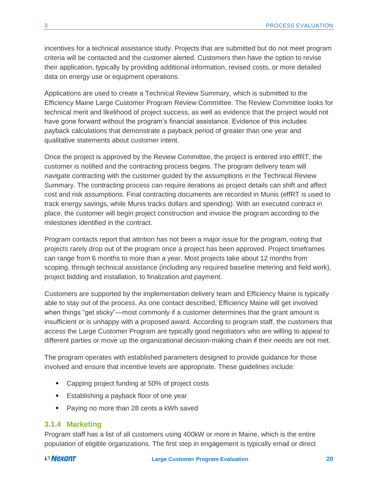incentives for a technical assistance study. Projects that are submitted but do not meet program criteria will be contacted and the customer alerted. Customers then have the option to revise their application, typically by providing additional information, revised costs, or more detailed data on energy use or equipment operations.

Applications are used to create a Technical Review Summary, which is submitted to the Efficiency Maine Large Customer Program Review Committee. The Review Committee looks for technical merit and likelihood of project success, as well as evidence that the project would not have gone forward without the program's financial assistance. Evidence of this includes payback calculations that demonstrate a payback period of greater than one year and qualitative statements about customer intent.

Once the project is approved by the Review Committee, the project is entered into effRT, the customer is notified and the contracting process begins. The program delivery team will navigate contracting with the customer guided by the assumptions in the Technical Review Summary. The contracting process can require iterations as project details can shift and affect cost and risk assumptions. Final contracting documents are recorded in Munis (effRT is used to track energy savings, while Munis tracks dollars and spending). With an executed contract in place, the customer will begin project construction and invoice the program according to the milestones identified in the contract.

Program contacts report that attrition has not been a major issue for the program, noting that projects rarely drop out of the program once a project has been approved. Project timeframes can range from 6 months to more than a year. Most projects take about 12 months from scoping, through technical assistance (including any required baseline metering and field work), project bidding and installation, to finalization and payment.

Customers are supported by the implementation delivery team and Efficiency Maine is typically able to stay out of the process. As one contact described, Efficiency Maine will get involved when things "get sticky"—most commonly if a customer determines that the grant amount is insufficient or is unhappy with a proposed award. According to program staff, the customers that access the Large Customer Program are typically good negotiators who are willing to appeal to different parties or move up the organizational decision-making chain if their needs are not met.

The program operates with established parameters designed to provide guidance for those involved and ensure that incentive levels are appropriate. These guidelines include:

- Capping project funding at 50% of project costs
- Establishing a payback floor of one year
- Paying no more than 28 cents a kWh saved

#### <span id="page-23-0"></span>**3.1.4 Marketing**

Program staff has a list of all customers using 400kW or more in Maine, which is the entire population of eligible organizations. The first step in engagement is typically email or direct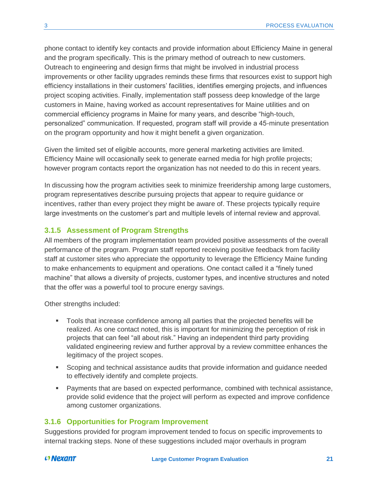phone contact to identify key contacts and provide information about Efficiency Maine in general and the program specifically. This is the primary method of outreach to new customers. Outreach to engineering and design firms that might be involved in industrial process improvements or other facility upgrades reminds these firms that resources exist to support high efficiency installations in their customers' facilities, identifies emerging projects, and influences project scoping activities. Finally, implementation staff possess deep knowledge of the large customers in Maine, having worked as account representatives for Maine utilities and on commercial efficiency programs in Maine for many years, and describe "high-touch, personalized" communication. If requested, program staff will provide a 45-minute presentation on the program opportunity and how it might benefit a given organization.

Given the limited set of eligible accounts, more general marketing activities are limited. Efficiency Maine will occasionally seek to generate earned media for high profile projects; however program contacts report the organization has not needed to do this in recent years.

In discussing how the program activities seek to minimize freeridership among large customers, program representatives describe pursuing projects that appear to require guidance or incentives, rather than every project they might be aware of. These projects typically require large investments on the customer's part and multiple levels of internal review and approval.

#### <span id="page-24-0"></span>**3.1.5 Assessment of Program Strengths**

All members of the program implementation team provided positive assessments of the overall performance of the program. Program staff reported receiving positive feedback from facility staff at customer sites who appreciate the opportunity to leverage the Efficiency Maine funding to make enhancements to equipment and operations. One contact called it a "finely tuned machine" that allows a diversity of projects, customer types, and incentive structures and noted that the offer was a powerful tool to procure energy savings.

Other strengths included:

- Tools that increase confidence among all parties that the projected benefits will be realized. As one contact noted, this is important for minimizing the perception of risk in projects that can feel "all about risk." Having an independent third party providing validated engineering review and further approval by a review committee enhances the legitimacy of the project scopes.
- Scoping and technical assistance audits that provide information and quidance needed to effectively identify and complete projects.
- Payments that are based on expected performance, combined with technical assistance, provide solid evidence that the project will perform as expected and improve confidence among customer organizations.

#### <span id="page-24-1"></span>**3.1.6 Opportunities for Program Improvement**

Suggestions provided for program improvement tended to focus on specific improvements to internal tracking steps. None of these suggestions included major overhauls in program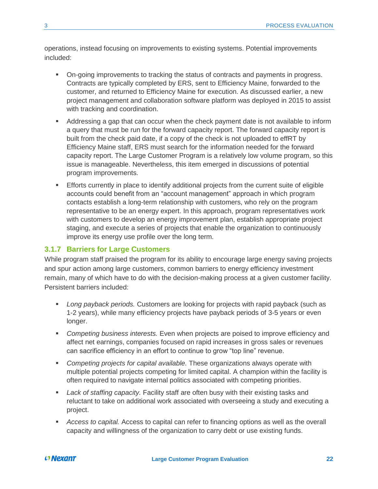operations, instead focusing on improvements to existing systems. Potential improvements included:

- On-going improvements to tracking the status of contracts and payments in progress. Contracts are typically completed by ERS, sent to Efficiency Maine, forwarded to the customer, and returned to Efficiency Maine for execution. As discussed earlier, a new project management and collaboration software platform was deployed in 2015 to assist with tracking and coordination.
- **EXECT** Addressing a gap that can occur when the check payment date is not available to inform a query that must be run for the forward capacity report. The forward capacity report is built from the check paid date, if a copy of the check is not uploaded to effRT by Efficiency Maine staff, ERS must search for the information needed for the forward capacity report. The Large Customer Program is a relatively low volume program, so this issue is manageable. Nevertheless, this item emerged in discussions of potential program improvements.
- **Efforts currently in place to identify additional projects from the current suite of eligible** accounts could benefit from an "account management" approach in which program contacts establish a long-term relationship with customers, who rely on the program representative to be an energy expert. In this approach, program representatives work with customers to develop an energy improvement plan, establish appropriate project staging, and execute a series of projects that enable the organization to continuously improve its energy use profile over the long term.

#### <span id="page-25-0"></span>**3.1.7 Barriers for Large Customers**

While program staff praised the program for its ability to encourage large energy saving projects and spur action among large customers, common barriers to energy efficiency investment remain, many of which have to do with the decision-making process at a given customer facility. Persistent barriers included:

- *Long payback periods.* Customers are looking for projects with rapid payback (such as 1-2 years), while many efficiency projects have payback periods of 3-5 years or even longer.
- *Competing business interests.* Even when projects are poised to improve efficiency and affect net earnings, companies focused on rapid increases in gross sales or revenues can sacrifice efficiency in an effort to continue to grow "top line" revenue.
- *Competing projects for capital available.* These organizations always operate with multiple potential projects competing for limited capital. A champion within the facility is often required to navigate internal politics associated with competing priorities.
- *Lack of staffing capacity*. Facility staff are often busy with their existing tasks and reluctant to take on additional work associated with overseeing a study and executing a project.
- *Access to capital.* Access to capital can refer to financing options as well as the overall capacity and willingness of the organization to carry debt or use existing funds.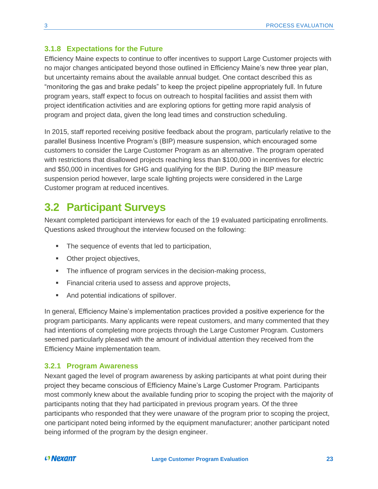#### <span id="page-26-0"></span>**3.1.8 Expectations for the Future**

Efficiency Maine expects to continue to offer incentives to support Large Customer projects with no major changes anticipated beyond those outlined in Efficiency Maine's new three year plan, but uncertainty remains about the available annual budget. One contact described this as "monitoring the gas and brake pedals" to keep the project pipeline appropriately full. In future program years, staff expect to focus on outreach to hospital facilities and assist them with project identification activities and are exploring options for getting more rapid analysis of program and project data, given the long lead times and construction scheduling.

In 2015, staff reported receiving positive feedback about the program, particularly relative to the parallel Business Incentive Program's (BIP) measure suspension, which encouraged some customers to consider the Large Customer Program as an alternative. The program operated with restrictions that disallowed projects reaching less than \$100,000 in incentives for electric and \$50,000 in incentives for GHG and qualifying for the BIP. During the BIP measure suspension period however, large scale lighting projects were considered in the Large Customer program at reduced incentives.

## <span id="page-26-1"></span>**3.2 Participant Surveys**

Nexant completed participant interviews for each of the 19 evaluated participating enrollments. Questions asked throughout the interview focused on the following:

- The sequence of events that led to participation,
- **•** Other project objectives,
- The influence of program services in the decision-making process,
- Financial criteria used to assess and approve projects,
- And potential indications of spillover.

In general, Efficiency Maine's implementation practices provided a positive experience for the program participants. Many applicants were repeat customers, and many commented that they had intentions of completing more projects through the Large Customer Program. Customers seemed particularly pleased with the amount of individual attention they received from the Efficiency Maine implementation team.

#### <span id="page-26-2"></span>**3.2.1 Program Awareness**

Nexant gaged the level of program awareness by asking participants at what point during their project they became conscious of Efficiency Maine's Large Customer Program. Participants most commonly knew about the available funding prior to scoping the project with the majority of participants noting that they had participated in previous program years. Of the three participants who responded that they were unaware of the program prior to scoping the project, one participant noted being informed by the equipment manufacturer; another participant noted being informed of the program by the design engineer.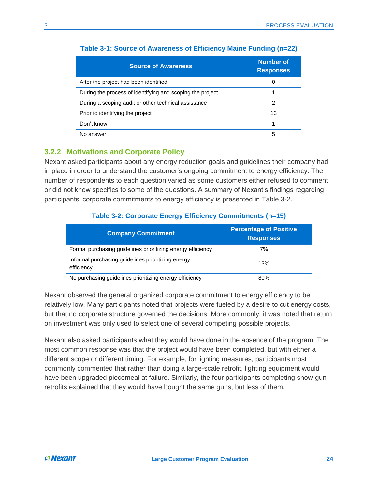| <b>Source of Awareness</b>                                | <b>Number of</b><br><b>Responses</b> |
|-----------------------------------------------------------|--------------------------------------|
| After the project had been identified                     | 0                                    |
| During the process of identifying and scoping the project |                                      |
| During a scoping audit or other technical assistance      | 2                                    |
| Prior to identifying the project                          | 13                                   |
| Don't know                                                |                                      |
| No answer                                                 | 5                                    |

#### **Table 3-1: Source of Awareness of Efficiency Maine Funding (n=22)**

#### <span id="page-27-0"></span>**3.2.2 Motivations and Corporate Policy**

Nexant asked participants about any energy reduction goals and guidelines their company had in place in order to understand the customer's ongoing commitment to energy efficiency. The number of respondents to each question varied as some customers either refused to comment or did not know specifics to some of the questions. A summary of Nexant's findings regarding participants' corporate commitments to energy efficiency is presented in [Table 3-2.](#page-27-1)

#### **Table 3-2: Corporate Energy Efficiency Commitments (n=15)**

<span id="page-27-1"></span>

| <b>Company Commitment</b>                                        | <b>Percentage of Positive</b><br><b>Responses</b> |
|------------------------------------------------------------------|---------------------------------------------------|
| Formal purchasing guidelines prioritizing energy efficiency      | 7%                                                |
| Informal purchasing guidelines prioritizing energy<br>efficiency | 13%                                               |
| No purchasing guidelines prioritizing energy efficiency          | 80%                                               |

Nexant observed the general organized corporate commitment to energy efficiency to be relatively low. Many participants noted that projects were fueled by a desire to cut energy costs, but that no corporate structure governed the decisions. More commonly, it was noted that return on investment was only used to select one of several competing possible projects.

Nexant also asked participants what they would have done in the absence of the program. The most common response was that the project would have been completed, but with either a different scope or different timing. For example, for lighting measures, participants most commonly commented that rather than doing a large-scale retrofit, lighting equipment would have been upgraded piecemeal at failure. Similarly, the four participants completing snow-gun retrofits explained that they would have bought the same guns, but less of them.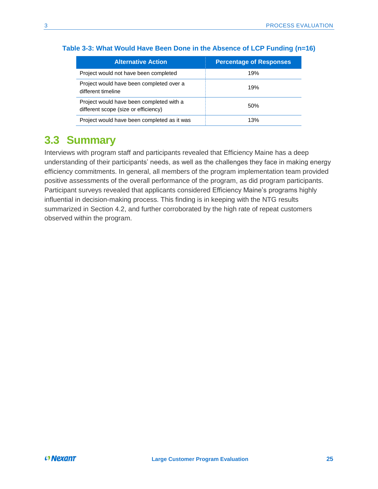| <b>Alternative Action</b>                                                        | <b>Percentage of Responses</b> |
|----------------------------------------------------------------------------------|--------------------------------|
| Project would not have been completed                                            | 19%                            |
| Project would have been completed over a<br>different timeline                   | 19%                            |
| Project would have been completed with a<br>different scope (size or efficiency) | 50%                            |
| Project would have been completed as it was                                      | 13%                            |

#### **Table 3-3: What Would Have Been Done in the Absence of LCP Funding (n=16)**

# <span id="page-28-0"></span>**3.3 Summary**

Interviews with program staff and participants revealed that Efficiency Maine has a deep understanding of their participants' needs, as well as the challenges they face in making energy efficiency commitments. In general, all members of the program implementation team provided positive assessments of the overall performance of the program, as did program participants. Participant surveys revealed that applicants considered Efficiency Maine's programs highly influential in decision-making process. This finding is in keeping with the NTG results summarized in Section [4.2,](#page-30-2) and further corroborated by the high rate of repeat customers observed within the program.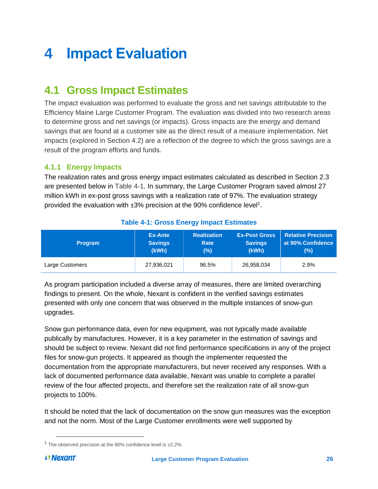# <span id="page-29-0"></span>**4 Impact Evaluation**

# <span id="page-29-1"></span>**4.1 Gross Impact Estimates**

The impact evaluation was performed to evaluate the gross and net savings attributable to the Efficiency Maine Large Customer Program. The evaluation was divided into two research areas to determine gross and net savings (or impacts). Gross impacts are the energy and demand savings that are found at a customer site as the direct result of a measure implementation. Net impacts (explored in Section [4.2\)](#page-30-2) are a reflection of the degree to which the gross savings are a result of the program efforts and funds.

#### <span id="page-29-2"></span>**4.1.1 Energy Impacts**

The realization rates and gross energy impact estimates calculated as described in Section [2.3](#page-9-1) are presented below in [Table 4-1.](#page-29-3) In summary, the Large Customer Program saved almost 27 million kWh in ex-post gross savings with a realization rate of 97%. The evaluation strategy provided the evaluation with ±3% precision at the 90% confidence level<sup>1</sup>.

<span id="page-29-3"></span>

| <b>Program</b>  | Ex-Ante        | <b>Realization</b> | <b>Ex-Post Gross</b> | <b>Relative Precision</b> |
|-----------------|----------------|--------------------|----------------------|---------------------------|
|                 | <b>Savings</b> | Rate               | <b>Savings</b>       | at 90% Confidence         |
|                 | (kWh)          | (%)                | (kWh)                | (%)                       |
| Large Customers | 27,936,021     | 96.5%              | 26,958,034           | 2.9%                      |

#### **Table 4-1: Gross Energy Impact Estimates**

As program participation included a diverse array of measures, there are limited overarching findings to present. On the whole, Nexant is confident in the verified savings estimates presented with only one concern that was observed in the multiple instances of snow-gun upgrades.

Snow gun performance data, even for new equipment, was not typically made available publically by manufactures. However, it is a key parameter in the estimation of savings and should be subject to review. Nexant did not find performance specifications in any of the project files for snow-gun projects. It appeared as though the implementer requested the documentation from the appropriate manufacturers, but never received any responses. With a lack of documented performance data available, Nexant was unable to complete a parallel review of the four affected projects, and therefore set the realization rate of all snow-gun projects to 100%.

It should be noted that the lack of documentation on the snow gun measures was the exception and not the norm. Most of the Large Customer enrollments were well supported by

 $\overline{a}$ 

 $1$  The observed precision at the 80% confidence level is  $\pm 2.2$ %.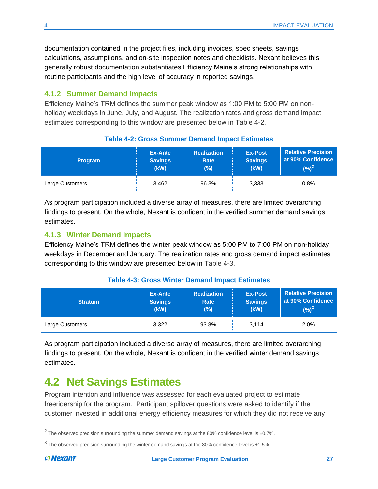documentation contained in the project files, including invoices, spec sheets, savings calculations, assumptions, and on-site inspection notes and checklists. Nexant believes this generally robust documentation substantiates Efficiency Maine's strong relationships with routine participants and the high level of accuracy in reported savings.

#### <span id="page-30-0"></span>**4.1.2 Summer Demand Impacts**

Efficiency Maine's TRM defines the summer peak window as 1:00 PM to 5:00 PM on nonholiday weekdays in June, July, and August. The realization rates and gross demand impact estimates corresponding to this window are presented below in [Table 4-2.](#page-30-3)

<span id="page-30-3"></span>

| <b>Program</b>  | Ex-Ante        | <b>Realization</b> | <b>Ex-Post</b> | <b>Relative Precision</b> |
|-----------------|----------------|--------------------|----------------|---------------------------|
|                 | <b>Savings</b> | <b>Rate</b>        | <b>Savings</b> | at 90% Confidence         |
|                 | (kW)           | (%)                | (kW)           | $(\%)^2$                  |
| Large Customers | 3,462          | 96.3%              | 3,333          | 0.8%                      |

#### **Table 4-2: Gross Summer Demand Impact Estimates**

As program participation included a diverse array of measures, there are limited overarching findings to present. On the whole, Nexant is confident in the verified summer demand savings estimates.

#### <span id="page-30-1"></span>**4.1.3 Winter Demand Impacts**

Efficiency Maine's TRM defines the winter peak window as 5:00 PM to 7:00 PM on non-holiday weekdays in December and January. The realization rates and gross demand impact estimates corresponding to this window are presented below in [Table 4-3.](#page-30-4)

<span id="page-30-4"></span>

| <b>Stratum</b>  | Ex-Ante        | <b>Realization</b> | <b>Ex-Post</b> | <b>Relative Precision</b> |
|-----------------|----------------|--------------------|----------------|---------------------------|
|                 | <b>Savings</b> | Rate               | <b>Savings</b> | at 90% Confidence         |
|                 | (kW)           | $(\% )$            | (kW)           | $(%)^3$                   |
| Large Customers | 3.322          | 93.8%              | 3.114          | 2.0%                      |

#### **Table 4-3: Gross Winter Demand Impact Estimates**

As program participation included a diverse array of measures, there are limited overarching findings to present. On the whole, Nexant is confident in the verified winter demand savings estimates.

### <span id="page-30-2"></span>**4.2 Net Savings Estimates**

Program intention and influence was assessed for each evaluated project to estimate freeridership for the program. Participant spillover questions were asked to identify if the customer invested in additional energy efficiency measures for which they did not receive any

 $\overline{\phantom{a}}$ 

 $^2$  The observed precision surrounding the summer demand savings at the 80% confidence level is ±0.7%.

 $^3$  The observed precision surrounding the winter demand savings at the 80% confidence level is ±1.5%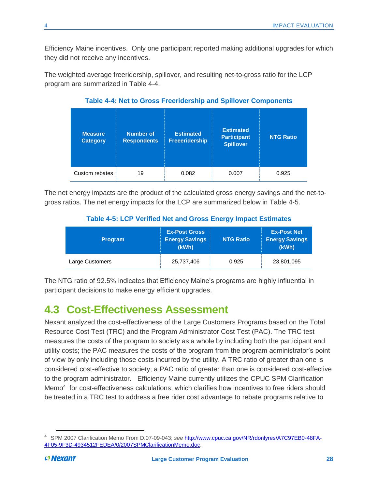Efficiency Maine incentives. Only one participant reported making additional upgrades for which they did not receive any incentives.

<span id="page-31-1"></span>The weighted average freeridership, spillover, and resulting net-to-gross ratio for the LCP program are summarized in [Table 4-4.](#page-31-1)

| <b>Measure</b><br><b>Category</b> | Number of<br><b>Respondents</b> | <b>Estimated</b><br><b>Freeeridership</b> | <b>Estimated</b><br><b>Participant</b><br><b>Spillover</b> | <b>NTG Ratio</b> |
|-----------------------------------|---------------------------------|-------------------------------------------|------------------------------------------------------------|------------------|
| Custom rebates                    | 19                              | 0.082                                     | 0.007                                                      | 0.925            |

**Table 4-4: Net to Gross Freeridership and Spillover Components**

<span id="page-31-2"></span>The net energy impacts are the product of the calculated gross energy savings and the net-togross ratios. The net energy impacts for the LCP are summarized below in [Table 4-5.](#page-31-2)

#### **Table 4-5: LCP Verified Net and Gross Energy Impact Estimates**

| <b>Program</b>  | <b>Ex-Post Gross</b><br><b>Energy Savings</b><br>(kWh) | <b>NTG Ratio</b> | <b>Ex-Post Net</b><br><b>Energy Savings</b><br>(kWh) |
|-----------------|--------------------------------------------------------|------------------|------------------------------------------------------|
| Large Customers | 25,737,406                                             | 0.925            | 23,801,095                                           |

The NTG ratio of 92.5% indicates that Efficiency Maine's programs are highly influential in participant decisions to make energy efficient upgrades.

# <span id="page-31-0"></span>**4.3 Cost-Effectiveness Assessment**

Nexant analyzed the cost-effectiveness of the Large Customers Programs based on the Total Resource Cost Test (TRC) and the Program Administrator Cost Test (PAC). The TRC test measures the costs of the program to society as a whole by including both the participant and utility costs; the PAC measures the costs of the program from the program administrator's point of view by only including those costs incurred by the utility. A TRC ratio of greater than one is considered cost-effective to society; a PAC ratio of greater than one is considered cost-effective to the program administrator. Efficiency Maine currently utilizes the CPUC SPM Clarification Memo<sup>4</sup> for cost-effectiveness calculations, which clarifies how incentives to free riders should be treated in a TRC test to address a free rider cost advantage to rebate programs relative to

 $\overline{\phantom{a}}$ 

<sup>4</sup> SPM 2007 Clarification Memo From D.07-09-043; *see* [http://www.cpuc.ca.gov/NR/rdonlyres/A7C97EB0-48FA-](http://www.cpuc.ca.gov/NR/rdonlyres/A7C97EB0-48FA-4F05-9F3D-4934512FEDEA/0/2007SPMClarificationMemo.doc)[4F05-9F3D-4934512FEDEA/0/2007SPMClarificationMemo.doc.](http://www.cpuc.ca.gov/NR/rdonlyres/A7C97EB0-48FA-4F05-9F3D-4934512FEDEA/0/2007SPMClarificationMemo.doc)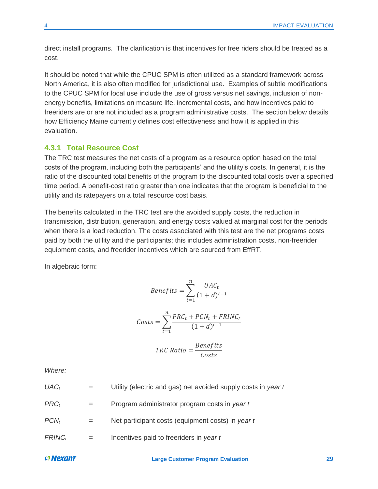direct install programs. The clarification is that incentives for free riders should be treated as a cost.

It should be noted that while the CPUC SPM is often utilized as a standard framework across North America, it is also often modified for jurisdictional use. Examples of subtle modifications to the CPUC SPM for local use include the use of gross versus net savings, inclusion of nonenergy benefits, limitations on measure life, incremental costs, and how incentives paid to freeriders are or are not included as a program administrative costs. The section below details how Efficiency Maine currently defines cost effectiveness and how it is applied in this evaluation.

#### <span id="page-32-0"></span>**4.3.1 Total Resource Cost**

The TRC test measures the net costs of a program as a resource option based on the total costs of the program, including both the participants' and the utility's costs. In general, it is the ratio of the discounted total benefits of the program to the discounted total costs over a specified time period. A benefit-cost ratio greater than one indicates that the program is beneficial to the utility and its ratepayers on a total resource cost basis.

The benefits calculated in the TRC test are the avoided supply costs, the reduction in transmission, distribution, generation, and energy costs valued at marginal cost for the periods when there is a load reduction. The costs associated with this test are the net programs costs paid by both the utility and the participants; this includes administration costs, non-freerider equipment costs, and freerider incentives which are sourced from EffRT.

In algebraic form:

$$
Benefits = \sum_{t=1}^{n} \frac{UAC_t}{(1+d)^{t-1}}
$$

$$
Costs = \sum_{t=1}^{n} \frac{PRC_t + PCN_t + FRINC_t}{(1+d)^{t-1}}
$$

$$
TRC Ratio = \frac{Benefits}{Costs}
$$

*Where:*

| $UAC_t$   | Utility (electric and gas) net avoided supply costs in year t |
|-----------|---------------------------------------------------------------|
| $PRC_t$   | Program administrator program costs in year t                 |
| $PCN_t$   | Net participant costs (equipment costs) in year t             |
| $FRINC_t$ | Incentives paid to freeriders in year t                       |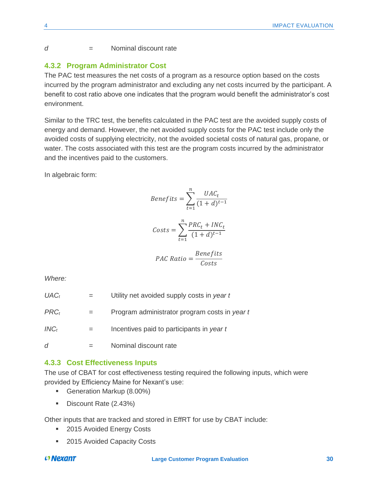#### *d =* Nominal discount rate

#### <span id="page-33-0"></span>**4.3.2 Program Administrator Cost**

The PAC test measures the net costs of a program as a resource option based on the costs incurred by the program administrator and excluding any net costs incurred by the participant. A benefit to cost ratio above one indicates that the program would benefit the administrator's cost environment.

Similar to the TRC test, the benefits calculated in the PAC test are the avoided supply costs of energy and demand. However, the net avoided supply costs for the PAC test include only the avoided costs of supplying electricity, not the avoided societal costs of natural gas, propane, or water. The costs associated with this test are the program costs incurred by the administrator and the incentives paid to the customers.

In algebraic form:

Benefits = 
$$
\sum_{t=1}^{n} \frac{UAC_t}{(1+d)^{t-1}}
$$

$$
Costs = \sum_{t=1}^{N} \frac{PRC_t + INC_t}{(1+d)^{t-1}}
$$

$$
PAC Ratio = \frac{Benefits}{Costs}
$$

*Where:*

| Program administrator program costs in year t |
|-----------------------------------------------|
| Incentives paid to participants in year t     |
|                                               |

#### <span id="page-33-1"></span>**4.3.3 Cost Effectiveness Inputs**

*d =* Nominal discount rate

The use of CBAT for cost effectiveness testing required the following inputs, which were provided by Efficiency Maine for Nexant's use:

- Generation Markup (8.00%)
- Discount Rate (2.43%)

Other inputs that are tracked and stored in EffRT for use by CBAT include:

- 2015 Avoided Energy Costs
- 2015 Avoided Capacity Costs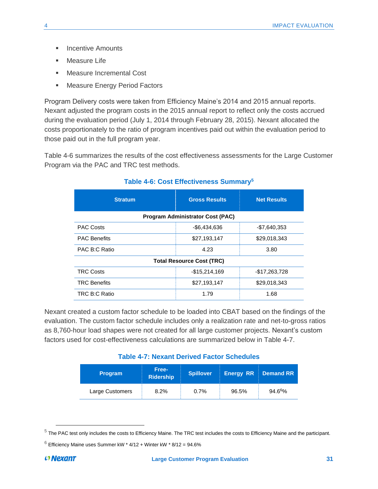- **■** Incentive Amounts
- Measure Life
- Measure Incremental Cost
- **EXECT:** Measure Energy Period Factors

Program Delivery costs were taken from Efficiency Maine's 2014 and 2015 annual reports. Nexant adjusted the program costs in the 2015 annual report to reflect only the costs accrued during the evaluation period (July 1, 2014 through February 28, 2015). Nexant allocated the costs proportionately to the ratio of program incentives paid out within the evaluation period to those paid out in the full program year.

<span id="page-34-0"></span>[Table 4-6](#page-34-0) summarizes the results of the cost effectiveness assessments for the Large Customer Program via the PAC and TRC test methods.

| <b>Stratum</b>                          | <b>Gross Results</b> | <b>Net Results</b> |  |  |  |  |
|-----------------------------------------|----------------------|--------------------|--|--|--|--|
| <b>Program Administrator Cost (PAC)</b> |                      |                    |  |  |  |  |
| <b>PAC Costs</b>                        | $-$6,434,636$        | $-$7,640,353$      |  |  |  |  |
| <b>PAC Benefits</b>                     | \$27,193,147         | \$29,018,343       |  |  |  |  |
| PAC B:C Ratio                           | 4.23                 | 3.80               |  |  |  |  |
| <b>Total Resource Cost (TRC)</b>        |                      |                    |  |  |  |  |
| <b>TRC Costs</b>                        | $-$15,214,169$       | $-$17,263,728$     |  |  |  |  |
| <b>TRC Benefits</b>                     | \$27,193,147         | \$29,018,343       |  |  |  |  |
| TRC B:C Ratio                           | 1.79                 | 1.68               |  |  |  |  |

#### **Table 4-6: Cost Effectiveness Summary<sup>5</sup>**

Nexant created a custom factor schedule to be loaded into CBAT based on the findings of the evaluation. The custom factor schedule includes only a realization rate and net-to-gross ratios as 8,760-hour load shapes were not created for all large customer projects. Nexant's custom factors used for cost-effectiveness calculations are summarized below in [Table 4-7.](#page-34-1)

| <b>Table 4-7: Nexant Derived Factor Schedules</b> |  |  |  |
|---------------------------------------------------|--|--|--|
|---------------------------------------------------|--|--|--|

<span id="page-34-1"></span>

| <b>Program</b>  | Free-<br><b>Ridership</b> | <b>Spillover</b> | <b>Energy RR</b> | <b>Demand RR</b> |
|-----------------|---------------------------|------------------|------------------|------------------|
| Large Customers | 8.2%                      | 0.7%             | 96.5%            | $94.6^{6}\%$     |

 $\overline{\phantom{a}}$ 

 $^5$  The PAC test only includes the costs to Efficiency Maine. The TRC test includes the costs to Efficiency Maine and the participant.

 $6$  Efficiency Maine uses Summer kW  $*$  4/12 + Winter kW  $*$  8/12 = 94.6%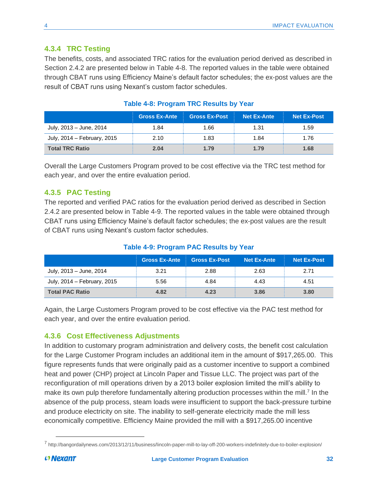#### <span id="page-35-0"></span>**4.3.4 TRC Testing**

The benefits, costs, and associated TRC ratios for the evaluation period derived as described in Section [2.4.2](#page-20-0) are presented below in [Table 4-8.](#page-35-3) The reported values in the table were obtained through CBAT runs using Efficiency Maine's default factor schedules; the ex-post values are the result of CBAT runs using Nexant's custom factor schedules.

<span id="page-35-3"></span>

|                             | <b>Gross Ex-Ante</b> | <b>Gross Ex-Post</b> | <b>Net Ex-Ante</b> | <b>Net Ex-Post</b> |
|-----------------------------|----------------------|----------------------|--------------------|--------------------|
| July, 2013 – June, 2014     | 1.84                 | 1.66                 | 1.31               | 1.59               |
| July, 2014 – February, 2015 | 2.10                 | 1.83                 | 1.84               | 1.76               |
| <b>Total TRC Ratio</b>      | 2.04                 | 1.79                 | 1.79               | 1.68               |

#### **Table 4-8: Program TRC Results by Year**

Overall the Large Customers Program proved to be cost effective via the TRC test method for each year, and over the entire evaluation period.

#### <span id="page-35-1"></span>**4.3.5 PAC Testing**

The reported and verified PAC ratios for the evaluation period derived as described in Section [2.4.2](#page-20-0) are presented below in [Table 4-9.](#page-35-4) The reported values in the table were obtained through CBAT runs using Efficiency Maine's default factor schedules; the ex-post values are the result of CBAT runs using Nexant's custom factor schedules.

### **Table 4-9: Program PAC Results by Year**

<span id="page-35-4"></span>

|                             | <b>Gross Ex-Ante</b> | <b>Gross Ex-Post</b> | <b>Net Ex-Ante</b> | <b>Net Ex-Post</b> |
|-----------------------------|----------------------|----------------------|--------------------|--------------------|
| July, 2013 – June, 2014     | 3.21                 | 2.88                 | 2.63               | 2.71               |
| July, 2014 – February, 2015 | 5.56                 | 4.84                 | 4.43               | 4.51               |
| <b>Total PAC Ratio</b>      | 4.82                 | 4.23                 | 3.86               | 3.80               |

Again, the Large Customers Program proved to be cost effective via the PAC test method for each year, and over the entire evaluation period.

#### <span id="page-35-2"></span>**4.3.6 Cost Effectiveness Adjustments**

In addition to customary program administration and delivery costs, the benefit cost calculation for the Large Customer Program includes an additional item in the amount of \$917,265.00. This figure represents funds that were originally paid as a customer incentive to support a combined heat and power (CHP) project at Lincoln Paper and Tissue LLC. The project was part of the reconfiguration of mill operations driven by a 2013 boiler explosion limited the mill's ability to make its own pulp therefore fundamentally altering production processes within the mill.<sup>7</sup> In the absence of the pulp process, steam loads were insufficient to support the back-pressure turbine and produce electricity on site. The inability to self-generate electricity made the mill less economically competitive. Efficiency Maine provided the mill with a \$917,265.00 incentive

 $\overline{a}$ 

<sup>7</sup> http://bangordailynews.com/2013/12/11/business/lincoln-paper-mill-to-lay-off-200-workers-indefinitely-due-to-boiler-explosion/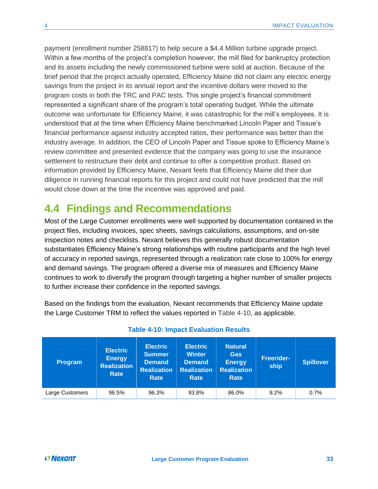payment (enrollment number 258817) to help secure a \$4.4 Million turbine upgrade project. Within a few months of the project's completion however, the mill filed for bankruptcy protection and its assets including the newly commissioned turbine were sold at auction. Because of the brief period that the project actually operated, Efficiency Maine did not claim any electric energy savings from the project in its annual report and the incentive dollars were moved to the program costs in both the TRC and PAC tests. This single project's financial commitment represented a significant share of the program's total operating budget. While the ultimate outcome was unfortunate for Efficiency Maine, it was catastrophic for the mill's employees. It is understood that at the time when Efficiency Maine benchmarked Lincoln Paper and Tissue's financial performance against industry accepted ratios, their performance was better than the industry average. In addition, the CEO of Lincoln Paper and Tissue spoke to Efficiency Maine's review committee and presented evidence that the company was going to use the insurance settlement to restructure their debt and continue to offer a competitive product. Based on information provided by Efficiency Maine, Nexant feels that Efficiency Maine did their due diligence in running financial reports for this project and could not have predicted that the mill would close down at the time the incentive was approved and paid.

### <span id="page-36-0"></span>**4.4 Findings and Recommendations**

Most of the Large Customer enrollments were well supported by documentation contained in the project files, including invoices, spec sheets, savings calculations, assumptions, and on-site inspection notes and checklists. Nexant believes this generally robust documentation substantiates Efficiency Maine's strong relationships with routine participants and the high level of accuracy in reported savings, represented through a realization rate close to 100% for energy and demand savings. The program offered a diverse mix of measures and Efficiency Maine continues to work to diversify the program through targeting a higher number of smaller projects to further increase their confidence in the reported savings.

Based on the findings from the evaluation, Nexant recommends that Efficiency Maine update the Large Customer TRM to reflect the values reported in [Table 4-10,](#page-36-1) as applicable.

<span id="page-36-1"></span>

| <b>Program</b>  | <b>Electric</b><br><b>Energy</b><br><b>Realization</b><br>Rate | <b>Electric</b><br><b>Summer</b><br><b>Demand</b><br><b>Realization</b><br>Rate | <b>Electric</b><br><b>Winter</b><br><b>Demand</b><br><b>Realization</b><br>Rate | <b>Natural</b><br><b>Gas</b><br><b>Energy</b><br><b>Realization</b><br>Rate | <b>Freerider-</b><br>ship | <b>Spillover</b> |
|-----------------|----------------------------------------------------------------|---------------------------------------------------------------------------------|---------------------------------------------------------------------------------|-----------------------------------------------------------------------------|---------------------------|------------------|
| Large Customers | 96.5%                                                          | 96.3%                                                                           | 93.8%                                                                           | 86.0%                                                                       | 8.2%                      | 0.7%             |

#### **Table 4-10: Impact Evaluation Results**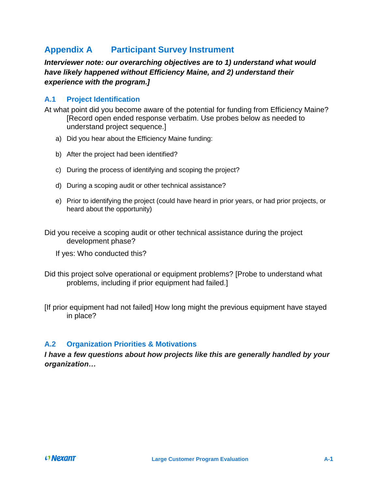### <span id="page-37-0"></span>**Appendix A Participant Survey Instrument**

*Interviewer note: our overarching objectives are to 1) understand what would have likely happened without Efficiency Maine, and 2) understand their experience with the program.]*

#### **A.1 Project Identification**

At what point did you become aware of the potential for funding from Efficiency Maine? [Record open ended response verbatim. Use probes below as needed to understand project sequence.]

- a) Did you hear about the Efficiency Maine funding:
- b) After the project had been identified?
- c) During the process of identifying and scoping the project?
- d) During a scoping audit or other technical assistance?
- e) Prior to identifying the project (could have heard in prior years, or had prior projects, or heard about the opportunity)

Did you receive a scoping audit or other technical assistance during the project development phase?

- If yes: Who conducted this?
- Did this project solve operational or equipment problems? [Probe to understand what problems, including if prior equipment had failed.]

[If prior equipment had not failed] How long might the previous equipment have stayed in place?

#### **A.2 Organization Priorities & Motivations**

*I have a few questions about how projects like this are generally handled by your organization…*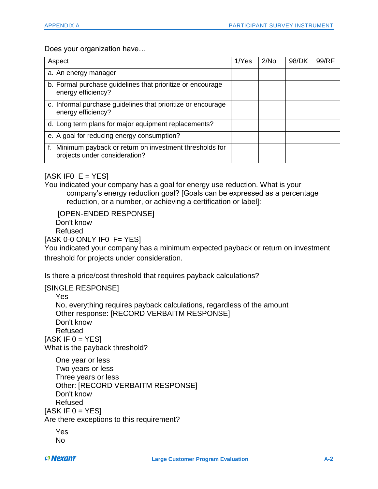<span id="page-38-0"></span>Does your organization have…

| Aspect                                                                                     | 1/Yes | 2/N <sub>O</sub> | 98/DK | 99/RF |
|--------------------------------------------------------------------------------------------|-------|------------------|-------|-------|
| a. An energy manager                                                                       |       |                  |       |       |
| b. Formal purchase guidelines that prioritize or encourage<br>energy efficiency?           |       |                  |       |       |
| c. Informal purchase guidelines that prioritize or encourage<br>energy efficiency?         |       |                  |       |       |
| d. Long term plans for major equipment replacements?                                       |       |                  |       |       |
| e. A goal for reducing energy consumption?                                                 |       |                  |       |       |
| f. Minimum payback or return on investment thresholds for<br>projects under consideration? |       |                  |       |       |

<span id="page-38-3"></span><span id="page-38-1"></span>[ASK IFO  $E = YES$  $E = YES$ ]

You indicated your company has a goal for energy use reduction. What is your company's energy reduction goal? [Goals can be expressed as a percentage reduction, or a number, or achieving a certification or label]:

[OPEN-ENDED RESPONSE] Don't know Refused

 $[ASK 0-0 ONLY IF0 F = YES]$  $[ASK 0-0 ONLY IF0 F = YES]$  $[ASK 0-0 ONLY IF0 F = YES]$  $[ASK 0-0 ONLY IF0 F = YES]$  $[ASK 0-0 ONLY IF0 F = YES]$  $[ASK 0-0 ONLY IF0 F = YES]$ 

You indicated your company has a minimum expected payback or return on investment threshold for projects under consideration.

<span id="page-38-2"></span>Is there a price/cost threshold that requires payback calculations?

#### [SINGLE RESPONSE]

Yes

No, everything requires payback calculations, regardless of the amount Other response: [RECORD VERBAITM RESPONSE] Don't know Refused [ASK IF  $0 = YES$ ] What is the payback threshold?

One year or less Two years or less Three years or less Other: [RECORD VERBAITM RESPONSE] Don't know Refused  $[ASK IF 0 = YES]$  $[ASK IF 0 = YES]$  $[ASK IF 0 = YES]$ Are there exceptions to this requirement?

<span id="page-38-4"></span>Yes No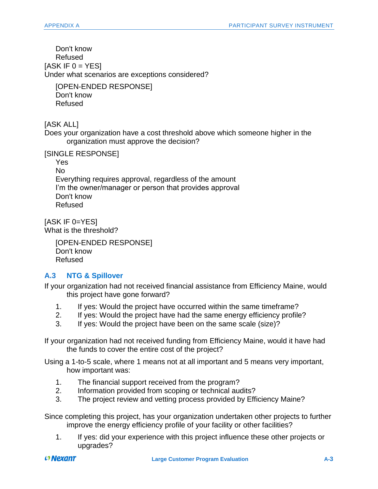<span id="page-39-0"></span>Don't know Refused  $[ASK IF 0 = YES]$  $[ASK IF 0 = YES]$  $[ASK IF 0 = YES]$ Under what scenarios are exceptions considered?

[OPEN-ENDED RESPONSE] Don't know Refused

[ASK ALL]

<span id="page-39-1"></span>Does your organization have a cost threshold above which someone higher in the organization must approve the decision?

[SINGLE RESPONSE]

Yes No

Everything requires approval, regardless of the amount I'm the owner/manager or person that provides approval Don't know Refused

[ASK IF [0=](#page-39-1)YES] What is the threshold?

> [OPEN-ENDED RESPONSE] Don't know Refused

#### **A.3 NTG & Spillover**

If your organization had not received financial assistance from Efficiency Maine, would this project have gone forward?

- 1. If yes: Would the project have occurred within the same timeframe?
- 2. If yes: Would the project have had the same energy efficiency profile?
- 3. If yes: Would the project have been on the same scale (size)?

If your organization had not received funding from Efficiency Maine, would it have had the funds to cover the entire cost of the project?

Using a 1-to-5 scale, where 1 means not at all important and 5 means very important, how important was:

- 1. The financial support received from the program?
- 2. Information provided from scoping or technical audits?
- 3. The project review and vetting process provided by Efficiency Maine?

Since completing this project, has your organization undertaken other projects to further improve the energy efficiency profile of your facility or other facilities?

1. If yes: did your experience with this project influence these other projects or upgrades?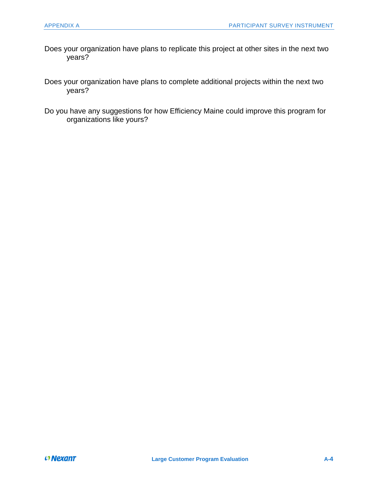- Does your organization have plans to replicate this project at other sites in the next two years?
- Does your organization have plans to complete additional projects within the next two years?
- Do you have any suggestions for how Efficiency Maine could improve this program for organizations like yours?